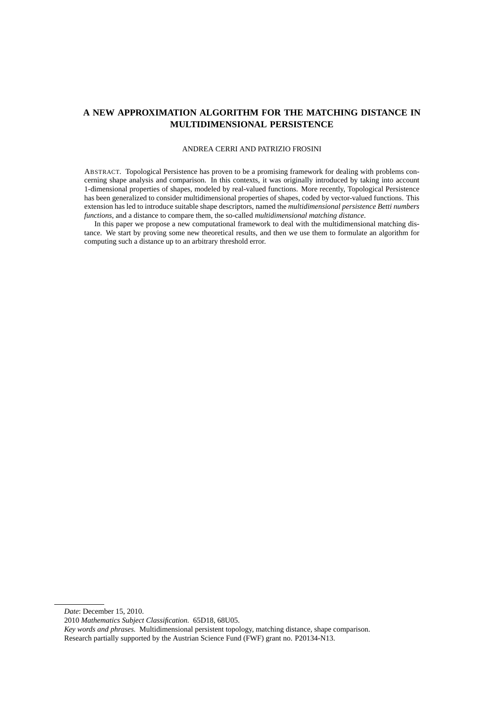# **A NEW APPROXIMATION ALGORITHM FOR THE MATCHING DISTANCE IN MULTIDIMENSIONAL PERSISTENCE**

# ANDREA CERRI AND PATRIZIO FROSINI

ABSTRACT. Topological Persistence has proven to be a promising framework for dealing with problems concerning shape analysis and comparison. In this contexts, it was originally introduced by taking into account 1-dimensional properties of shapes, modeled by real-valued functions. More recently, Topological Persistence has been generalized to consider multidimensional properties of shapes, coded by vector-valued functions. This extension has led to introduce suitable shape descriptors, named the *multidimensional persistence Betti numbers functions*, and a distance to compare them, the so-called *multidimensional matching distance*.

In this paper we propose a new computational framework to deal with the multidimensional matching distance. We start by proving some new theoretical results, and then we use them to formulate an algorithm for computing such a distance up to an arbitrary threshold error.

*Date*: December 15, 2010.

<sup>2010</sup> *Mathematics Subject Classification.* 65D18, 68U05.

*Key words and phrases.* Multidimensional persistent topology, matching distance, shape comparison. Research partially supported by the Austrian Science Fund (FWF) grant no. P20134-N13.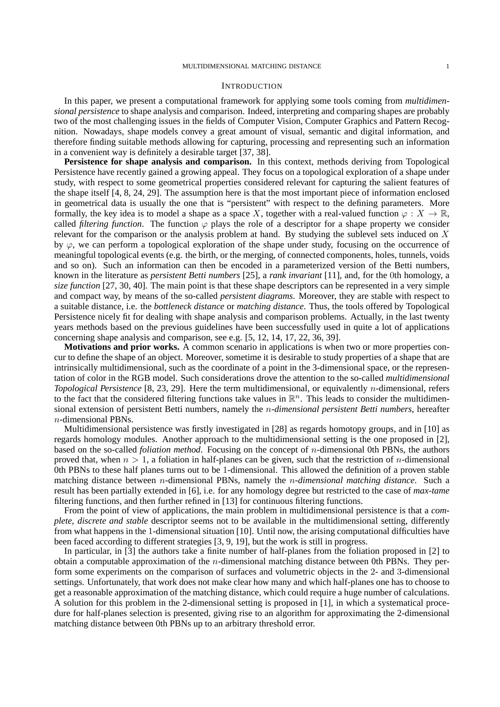# **INTRODUCTION**

In this paper, we present a computational framework for applying some tools coming from *multidimensional persistence* to shape analysis and comparison. Indeed, interpreting and comparing shapes are probably two of the most challenging issues in the fields of Computer Vision, Computer Graphics and Pattern Recognition. Nowadays, shape models convey a great amount of visual, semantic and digital information, and therefore finding suitable methods allowing for capturing, processing and representing such an information in a convenient way is definitely a desirable target [37, 38].

**Persistence for shape analysis and comparison.** In this context, methods deriving from Topological Persistence have recently gained a growing appeal. They focus on a topological exploration of a shape under study, with respect to some geometrical properties considered relevant for capturing the salient features of the shape itself [4, 8, 24, 29]. The assumption here is that the most important piece of information enclosed in geometrical data is usually the one that is "persistent" with respect to the defining parameters. More formally, the key idea is to model a shape as a space X, together with a real-valued function  $\varphi : X \to \mathbb{R}$ , called *filtering function*. The function  $\varphi$  plays the role of a descriptor for a shape property we consider relevant for the comparison or the analysis problem at hand. By studying the sublevel sets induced on X by  $\varphi$ , we can perform a topological exploration of the shape under study, focusing on the occurrence of meaningful topological events (e.g. the birth, or the merging, of connected components, holes, tunnels, voids and so on). Such an information can then be encoded in a parameterized version of the Betti numbers, known in the literature as *persistent Betti numbers* [25], a *rank invariant* [11], and, for the 0th homology, a *size function* [27, 30, 40]. The main point is that these shape descriptors can be represented in a very simple and compact way, by means of the so-called *persistent diagrams*. Moreover, they are stable with respect to a suitable distance, i.e. the *bottleneck distance* or *matching distance*. Thus, the tools offered by Topological Persistence nicely fit for dealing with shape analysis and comparison problems. Actually, in the last twenty years methods based on the previous guidelines have been successfully used in quite a lot of applications concerning shape analysis and comparison, see e.g. [5, 12, 14, 17, 22, 36, 39].

**Motivations and prior works.** A common scenario in applications is when two or more properties concur to define the shape of an object. Moreover, sometime it is desirable to study properties of a shape that are intrinsically multidimensional, such as the coordinate of a point in the 3-dimensional space, or the representation of color in the RGB model. Such considerations drove the attention to the so-called *multidimensional Topological Persistence* [8, 23, 29]. Here the term multidimensional, or equivalently n-dimensional, refers to the fact that the considered filtering functions take values in  $\mathbb{R}^n$ . This leads to consider the multidimensional extension of persistent Betti numbers, namely the n*-dimensional persistent Betti numbers*, hereafter n-dimensional PBNs.

Multidimensional persistence was firstly investigated in [28] as regards homotopy groups, and in [10] as regards homology modules. Another approach to the multidimensional setting is the one proposed in [2], based on the so-called *foliation method*. Focusing on the concept of n-dimensional 0th PBNs, the authors proved that, when  $n > 1$ , a foliation in half-planes can be given, such that the restriction of *n*-dimensional 0th PBNs to these half planes turns out to be 1-dimensional. This allowed the definition of a proven stable matching distance between n-dimensional PBNs, namely the n*-dimensional matching distance*. Such a result has been partially extended in [6], i.e. for any homology degree but restricted to the case of *max-tame* filtering functions, and then further refined in [13] for continuous filtering functions.

From the point of view of applications, the main problem in multidimensional persistence is that a *complete, discrete and stable* descriptor seems not to be available in the multidimensional setting, differently from what happens in the 1-dimensional situation [10]. Until now, the arising computational difficulties have been faced according to different strategies [3, 9, 19], but the work is still in progress.

In particular, in [3] the authors take a finite number of half-planes from the foliation proposed in [2] to obtain a computable approximation of the  $n$ -dimensional matching distance between 0th PBNs. They perform some experiments on the comparison of surfaces and volumetric objects in the 2- and 3-dimensional settings. Unfortunately, that work does not make clear how many and which half-planes one has to choose to get a reasonable approximation of the matching distance, which could require a huge number of calculations. A solution for this problem in the 2-dimensional setting is proposed in [1], in which a systematical procedure for half-planes selection is presented, giving rise to an algorithm for approximating the 2-dimensional matching distance between 0th PBNs up to an arbitrary threshold error.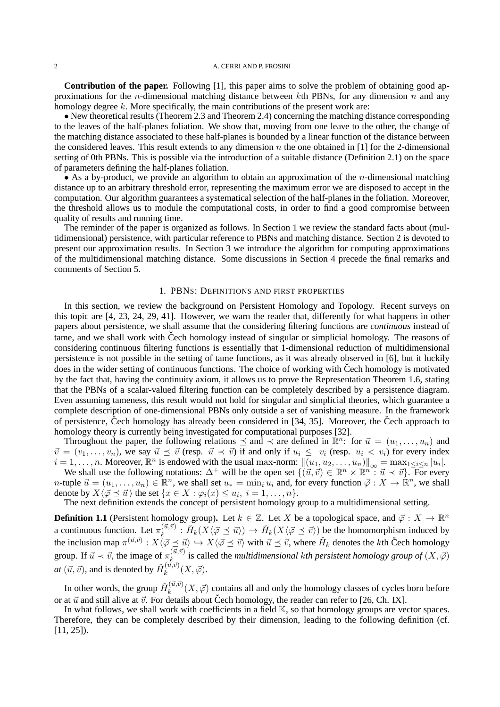**Contribution of the paper.** Following [1], this paper aims to solve the problem of obtaining good approximations for the *n*-dimensional matching distance between kth PBNs, for any dimension *n* and any homology degree k. More specifically, the main contributions of the present work are:

• New theoretical results (Theorem 2.3 and Theorem 2.4) concerning the matching distance corresponding to the leaves of the half-planes foliation. We show that, moving from one leave to the other, the change of the matching distance associated to these half-planes is bounded by a linear function of the distance between the considered leaves. This result extends to any dimension n the one obtained in [1] for the 2-dimensional setting of 0th PBNs. This is possible via the introduction of a suitable distance (Definition 2.1) on the space of parameters defining the half-planes foliation.

• As a by-product, we provide an algorithm to obtain an approximation of the *n*-dimensional matching distance up to an arbitrary threshold error, representing the maximum error we are disposed to accept in the computation. Our algorithm guarantees a systematical selection of the half-planes in the foliation. Moreover, the threshold allows us to module the computational costs, in order to find a good compromise between quality of results and running time.

The reminder of the paper is organized as follows. In Section 1 we review the standard facts about (multidimensional) persistence, with particular reference to PBNs and matching distance. Section 2 is devoted to present our approximation results. In Section 3 we introduce the algorithm for computing approximations of the multidimensional matching distance. Some discussions in Section 4 precede the final remarks and comments of Section 5.

# 1. PBNS: DEFINITIONS AND FIRST PROPERTIES

In this section, we review the background on Persistent Homology and Topology. Recent surveys on this topic are [4, 23, 24, 29, 41]. However, we warn the reader that, differently for what happens in other papers about persistence, we shall assume that the considering filtering functions are *continuous* instead of tame, and we shall work with Čech homology instead of singular or simplicial homology. The reasons of considering continuous filtering functions is essentially that 1-dimensional reduction of multidimensional persistence is not possible in the setting of tame functions, as it was already observed in [6], but it luckily does in the wider setting of continuous functions. The choice of working with Čech homology is motivated by the fact that, having the continuity axiom, it allows us to prove the Representation Theorem 1.6, stating that the PBNs of a scalar-valued filtering function can be completely described by a persistence diagram. Even assuming tameness, this result would not hold for singular and simplicial theories, which guarantee a complete description of one-dimensional PBNs only outside a set of vanishing measure. In the framework of persistence, Čech homology has already been considered in  $[34, 35]$ . Moreover, the Čech approach to homology theory is currently being investigated for computational purposes [32].

Throughout the paper, the following relations  $\preceq$  and  $\prec$  are defined in  $\mathbb{R}^n$ : for  $\vec{u} = (u_1, \ldots, u_n)$  and  $\vec{v} = (v_1, \ldots, v_n)$ , we say  $\vec{u} \preceq \vec{v}$  (resp.  $\vec{u} \prec \vec{v}$ ) if and only if  $u_i \leq v_i$  (resp.  $u_i < v_i$ ) for every index  $i = 1, \ldots, n$ . Moreover,  $\mathbb{R}^n$  is endowed with the usual max-norm:  $\|(u_1, u_2, \ldots, u_n)\|_{\infty} = \max_{1 \le i \le n} |u_i|$ .

We shall use the following notations:  $\Delta^+$  will be the open set  $\{(\vec{u}, \vec{v}) \in \mathbb{R}^n \times \mathbb{R}^n : \vec{u} \prec \vec{v}\}\$ . For every *n*-tuple  $\vec{u} = (u_1, \dots, u_n) \in \mathbb{R}^n$ , we shall set  $u_* = \min_i \hat{u}_i$  and, for every function  $\vec{\varphi} : X \to \mathbb{R}^n$ , we shall denote by  $X\langle \vec{\varphi} \preceq \vec{u} \rangle$  the set  $\{x \in X : \varphi_i(x) \leq u_i, i = 1, \ldots, n\}.$ 

The next definition extends the concept of persistent homology group to a multidimensional setting.

**Definition 1.1** (Persistent homology group). Let  $k \in \mathbb{Z}$ . Let X be a topological space, and  $\vec{\varphi}: X \to \mathbb{R}^n$ a continuous function. Let  $\pi_k^{(\vec{u}, \vec{v})}$  $k_k^{(\vec{u},\vec{v})}$  :  $\check{H}_k(X\langle \vec{\varphi} \preceq \vec{u} \rangle) \to \check{H}_k(X\langle \vec{\varphi} \preceq \vec{v} \rangle)$  be the homomorphism induced by the inclusion map  $\pi^{(\vec{u},\vec{v})}: X\langle\vec{\varphi} \preceq \vec{u} \rangle \hookrightarrow X\langle\vec{\varphi} \preceq \vec{v} \rangle$  with  $\vec{u} \preceq \vec{v}$ , where  $\check{H}_k$  denotes the kth Čech homology group. If  $\vec{u} \prec \vec{v}$ , the image of  $\pi_k^{(\vec{u}, \vec{v})}$  $\lim_{k \to \infty}$  is called the *multidimensional kth persistent homology group of*  $(X, \vec{\varphi})$  $at~(\vec{u}, \vec{v})$ , and is denoted by  $\check{H}_k^{(\vec{u}, \vec{v})}$  $\kappa^{(u,v)}(X,\vec\varphi).$ 

In other words, the group  $\check{H}_k^{(\vec{u}, \vec{v})}$  $k_k^{(u,v)}(X,\vec{\varphi})$  contains all and only the homology classes of cycles born before or at  $\vec{u}$  and still alive at  $\vec{v}$ . For details about Cech homology, the reader can refer to [26, Ch. IX].

In what follows, we shall work with coefficients in a field  $\mathbb{K}$ , so that homology groups are vector spaces. Therefore, they can be completely described by their dimension, leading to the following definition (cf. [11, 25]).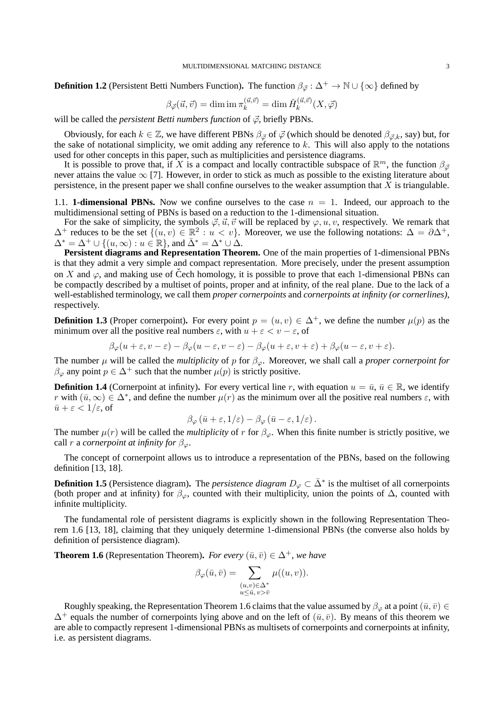**Definition 1.2** (Persistent Betti Numbers Function). The function  $\beta_{\vec{\varphi}} : \Delta^+ \to \mathbb{N} \cup \{\infty\}$  defined by

$$
\beta_{\vec{\varphi}}(\vec{u}, \vec{v}) = \dim \mathrm{im} \, \pi_k^{(\vec{u}, \vec{v})} = \dim \check{H}_k^{(\vec{u}, \vec{v})}(X, \vec{\varphi})
$$

will be called the *persistent Betti numbers function* of  $\vec{\varphi}$ , briefly PBNs.

Obviously, for each  $k \in \mathbb{Z}$ , we have different PBNs  $\beta_{\vec{\varphi}}$  of  $\vec{\varphi}$  (which should be denoted  $\beta_{\vec{\varphi},k}$ , say) but, for the sake of notational simplicity, we omit adding any reference to  $k$ . This will also apply to the notations used for other concepts in this paper, such as multiplicities and persistence diagrams.

It is possible to prove that, if X is a compact and locally contractible subspace of  $\mathbb{R}^m$ , the function  $\beta_{\vec{\varphi}}$ never attains the value  $\infty$  [7]. However, in order to stick as much as possible to the existing literature about persistence, in the present paper we shall confine ourselves to the weaker assumption that  $X$  is triangulable.

1.1. **1-dimensional PBNs.** Now we confine ourselves to the case  $n = 1$ . Indeed, our approach to the multidimensional setting of PBNs is based on a reduction to the 1-dimensional situation.

For the sake of simplicity, the symbols  $\vec{\varphi}, \vec{u}, \vec{v}$  will be replaced by  $\varphi, u, v$ , respectively. We remark that  $\Delta^+$  reduces to be the set  $\{(u, v) \in \mathbb{R}^2 : u < v\}$ . Moreover, we use the following notations:  $\Delta = \partial \Delta^+,$  $\Delta^* = \Delta^+ \cup \{(u, \infty) : u \in \mathbb{R}\},$  and  $\bar{\Delta}^* = \Delta^* \cup \Delta$ .

**Persistent diagrams and Representation Theorem.** One of the main properties of 1-dimensional PBNs is that they admit a very simple and compact representation. More precisely, under the present assumption on X and  $\varphi$ , and making use of Čech homology, it is possible to prove that each 1-dimensional PBNs can be compactly described by a multiset of points, proper and at infinity, of the real plane. Due to the lack of a well-established terminology, we call them *proper cornerpoints* and *cornerpoints at infinity (or cornerlines)*, respectively.

**Definition 1.3** (Proper cornerpoint). For every point  $p = (u, v) \in \Delta^+$ , we define the number  $\mu(p)$  as the minimum over all the positive real numbers  $\varepsilon$ , with  $u + \varepsilon < v - \varepsilon$ , of

$$
\beta_{\varphi}(u+\varepsilon,v-\varepsilon)-\beta_{\varphi}(u-\varepsilon,v-\varepsilon)-\beta_{\varphi}(u+\varepsilon,v+\varepsilon)+\beta_{\varphi}(u-\varepsilon,v+\varepsilon).
$$

The number  $\mu$  will be called the *multiplicity* of p for  $\beta_{\varphi}$ . Moreover, we shall call a *proper cornerpoint for*  $\beta_{\varphi}$  any point  $p \in \Delta^+$  such that the number  $\mu(p)$  is strictly positive.

**Definition 1.4** (Cornerpoint at infinity). For every vertical line r, with equation  $u = \bar{u}$ ,  $\bar{u} \in \mathbb{R}$ , we identify r with  $(\bar{u}, \infty) \in \Delta^*$ , and define the number  $\mu(r)$  as the minimum over all the positive real numbers  $\varepsilon$ , with  $\bar{u} + \varepsilon < 1/\varepsilon$ , of

$$
\beta_{\varphi}(\bar{u}+\varepsilon,1/\varepsilon)-\beta_{\varphi}(\bar{u}-\varepsilon,1/\varepsilon).
$$

The number  $\mu(r)$  will be called the *multiplicity* of r for  $\beta_{\varphi}$ . When this finite number is strictly positive, we call r a *cornerpoint at infinity for*  $\beta_{\varphi}$ .

The concept of cornerpoint allows us to introduce a representation of the PBNs, based on the following definition [13, 18].

**Definition 1.5** (Persistence diagram). The *persistence diagram*  $D_{\varphi} \subset \bar{\Delta}^*$  is the multiset of all cornerpoints (both proper and at infinity) for  $\beta_{\varphi}$ , counted with their multiplicity, union the points of  $\Delta$ , counted with infinite multiplicity.

The fundamental role of persistent diagrams is explicitly shown in the following Representation Theorem 1.6 [13, 18], claiming that they uniquely determine 1-dimensional PBNs (the converse also holds by definition of persistence diagram).

**Theorem 1.6** (Representation Theorem). *For every*  $(\bar{u}, \bar{v}) \in \Delta^+$ , we have

$$
\beta_{\varphi}(\bar{u}, \bar{v}) = \sum_{\substack{(u,v)\in \Delta^*\\u\leq \bar{u}, v>\bar{v}}} \mu((u,v)).
$$

Roughly speaking, the Representation Theorem 1.6 claims that the value assumed by  $\beta_{\varphi}$  at a point  $(\bar{u}, \bar{v}) \in$  $\Delta^+$  equals the number of cornerpoints lying above and on the left of  $(\bar{u}, \bar{v})$ . By means of this theorem we are able to compactly represent 1-dimensional PBNs as multisets of cornerpoints and cornerpoints at infinity, i.e. as persistent diagrams.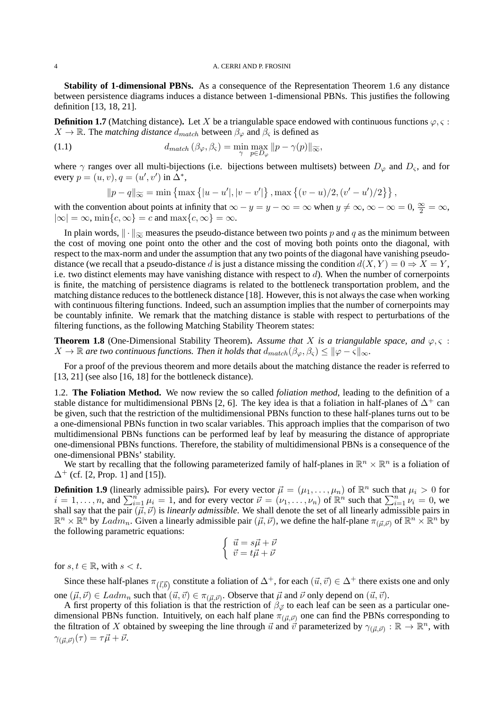**Stability of 1-dimensional PBNs.** As a consequence of the Representation Theorem 1.6 any distance between persistence diagrams induces a distance between 1-dimensional PBNs. This justifies the following definition [13, 18, 21].

**Definition 1.7** (Matching distance). Let X be a triangulable space endowed with continuous functions  $\varphi$ ,  $\varsigma$ :  $X \to \mathbb{R}$ . The *matching distance*  $d_{match}$  between  $\beta_{\varphi}$  and  $\beta_{\varsigma}$  is defined as

(1.1) 
$$
d_{match} (\beta_{\varphi}, \beta_{\varsigma}) = \min_{\gamma} \max_{p \in D_{\varphi}} ||p - \gamma(p)||_{\widetilde{\infty}},
$$

where  $\gamma$  ranges over all multi-bijections (i.e. bijections between multisets) between  $D_{\varphi}$  and  $D_{\varsigma}$ , and for every  $p = (u, v), q = (u', v')$  in  $\Delta^*$ ,

$$
||p - q||_{\infty} = \min \{ \max \{|u - u'|, |v - v'|\}, \max \{(v - u)/2, (v' - u')/2\} \},
$$

with the convention about points at infinity that  $\infty - y = y - \infty = \infty$  when  $y \neq \infty$ ,  $\infty - \infty = 0$ ,  $\frac{\infty}{2} = \infty$ ,  $|\infty| = \infty$ , min $\{c, \infty\} = c$  and max $\{c, \infty\} = \infty$ .

In plain words,  $\|\cdot\|_{\infty}$  measures the pseudo-distance between two points p and q as the minimum between the cost of moving one point onto the other and the cost of moving both points onto the diagonal, with respect to the max-norm and under the assumption that any two points of the diagonal have vanishing pseudodistance (we recall that a pseudo-distance d is just a distance missing the condition  $d(X, Y) = 0 \Rightarrow X = Y$ , i.e. two distinct elements may have vanishing distance with respect to  $d$ ). When the number of cornerpoints is finite, the matching of persistence diagrams is related to the bottleneck transportation problem, and the matching distance reduces to the bottleneck distance [18]. However, this is not always the case when working with continuous filtering functions. Indeed, such an assumption implies that the number of cornerpoints may be countably infinite. We remark that the matching distance is stable with respect to perturbations of the filtering functions, as the following Matching Stability Theorem states:

**Theorem 1.8** (One-Dimensional Stability Theorem). Assume that X is a triangulable space, and  $\varphi, \varsigma$ :  $X \to \mathbb{R}$  are two continuous functions. Then it holds that  $d_{match}(\beta_{\varphi}, \beta_{\varsigma}) \leq ||\varphi - \varsigma||_{\infty}$ .

For a proof of the previous theorem and more details about the matching distance the reader is referred to [13, 21] (see also [16, 18] for the bottleneck distance).

1.2. **The Foliation Method.** We now review the so called *foliation method*, leading to the definition of a stable distance for multidimensional PBNs [2, 6]. The key idea is that a foliation in half-planes of  $\Delta^+$  can be given, such that the restriction of the multidimensional PBNs function to these half-planes turns out to be a one-dimensional PBNs function in two scalar variables. This approach implies that the comparison of two multidimensional PBNs functions can be performed leaf by leaf by measuring the distance of appropriate one-dimensional PBNs functions. Therefore, the stability of multidimensional PBNs is a consequence of the one-dimensional PBNs' stability.

We start by recalling that the following parameterized family of half-planes in  $\mathbb{R}^n \times \mathbb{R}^n$  is a foliation of  $\Delta^+$  (cf. [2, Prop. 1] and [15]).

**Definition 1.9** (linearly admissible pairs). For every vector  $\vec{\mu} = (\mu_1, \dots, \mu_n)$  of  $\mathbb{R}^n$  such that  $\mu_i > 0$  for  $i = 1, \ldots, n$ , and  $\sum_{i=1}^{n} \mu_i = 1$ , and for every vector  $\vec{\nu} = (\nu_1, \ldots, \nu_n)$  of  $\mathbb{R}^n$  such that  $\sum_{i=1}^{n} \nu_i = 0$ , we shall say that the pair  $(\vec{\mu}, \vec{\nu})$  is *linearly admissible*. We shall denote the set of all linearly admissible pairs in  $\mathbb{R}^n \times \mathbb{R}^n$  by  $Ladm_n$ . Given a linearly admissible pair  $(\vec{\mu}, \vec{\nu})$ , we define the half-plane  $\pi_{(\vec{\mu}, \vec{\nu})}$  of  $\mathbb{R}^n \times \mathbb{R}^n$  by the following parametric equations:

$$
\left\{ \begin{array}{l} \vec{u}=s\vec{\mu}+\vec{\nu} \\ \vec{v}=t\vec{\mu}+\vec{\nu} \end{array} \right.
$$

for  $s, t \in \mathbb{R}$ , with  $s < t$ .

Since these half-planes  $\pi_{(\vec{l},\vec{b})}$  constitute a foliation of  $\Delta^+$ , for each  $(\vec{u}, \vec{v}) \in \Delta^+$  there exists one and only one  $(\vec{\mu}, \vec{\nu}) \in \text{Ladm}_n$  such that  $(\vec{u}, \vec{v}) \in \pi_{(\vec{\mu}, \vec{\nu})}$ . Observe that  $\vec{\mu}$  and  $\vec{\nu}$  only depend on  $(\vec{u}, \vec{v})$ .

A first property of this foliation is that the restriction of  $\beta_{\vec{\varphi}}$  to each leaf can be seen as a particular onedimensional PBNs function. Intuitively, on each half plane  $\pi_{(\vec{\mu},\vec{v})}$  one can find the PBNs corresponding to the filtration of X obtained by sweeping the line through  $\vec{u}$  and  $\vec{v}$  parameterized by  $\gamma_{(\vec{\mu},\vec{\nu})}: \mathbb{R} \to \mathbb{R}^n$ , with  $\gamma_{(\vec{\mu}, \vec{\nu})}(\tau) = \tau \vec{\mu} + \vec{\nu}.$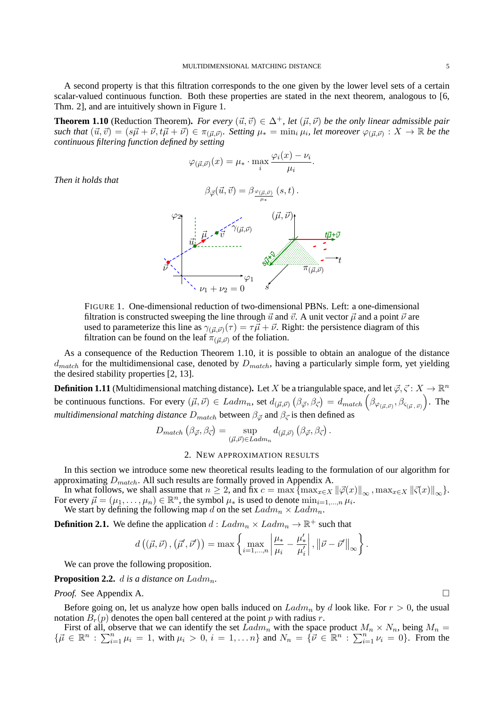A second property is that this filtration corresponds to the one given by the lower level sets of a certain scalar-valued continuous function. Both these properties are stated in the next theorem, analogous to [6, Thm. 2], and are intuitively shown in Figure 1.

**Theorem 1.10** (Reduction Theorem). *For every*  $(\vec{u}, \vec{v}) \in \Delta^+$ , let  $(\vec{\mu}, \vec{\nu})$  be the only linear admissible pair  $\mathcal{L}$  such that  $(\vec{u}, \vec{v}) = (s\vec{\mu} + \vec{\nu}, t\vec{\mu} + \vec{\nu}) \in \pi_{(\vec{\mu}, \vec{\nu})}$ . Setting  $\mu_* = \min_i \mu_i$ , let moreover  $\varphi_{(\vec{\mu}, \vec{\nu})} : X \to \mathbb{R}$  be the *continuous filtering function defined by setting*

$$
\varphi_{(\vec{\mu},\vec{\nu})}(x) = \mu_* \cdot \max_i \frac{\varphi_i(x) - \nu_i}{\mu_i}.
$$

*Then it holds that*

$$
\beta_{\vec{\varphi}}(\vec{u},\vec{v}) = \beta_{\frac{\varphi_{(\vec{\mu},\vec{v})}}{\mu_*}}(s,t).
$$



FIGURE 1. One-dimensional reduction of two-dimensional PBNs. Left: a one-dimensional filtration is constructed sweeping the line through  $\vec{u}$  and  $\vec{v}$ . A unit vector  $\vec{\mu}$  and a point  $\vec{\nu}$  are used to parameterize this line as  $\gamma_{(\vec{\mu},\vec{\nu})}(\tau) = \tau \vec{\mu} + \vec{\nu}$ . Right: the persistence diagram of this filtration can be found on the leaf  $\pi_{(\vec{u},\vec{v})}$  of the foliation.

As a consequence of the Reduction Theorem 1.10, it is possible to obtain an analogue of the distance  $d_{match}$  for the multidimensional case, denoted by  $D_{match}$ , having a particularly simple form, yet yielding the desired stability properties [2, 13].

**Definition 1.11** (Multidimensional matching distance). Let X be a triangulable space, and let  $\vec{\varphi}, \vec{\varsigma}: X \to \mathbb{R}^n$ be continuous functions. For every  $(\vec{\mu}, \vec{\nu}) \in \text{Ladm}_n$ , set  $d_{(\vec{\mu}, \vec{\nu})}(\beta_{\vec{\varphi}}, \beta_{\vec{\varsigma}}) = d_{match}\left(\beta_{\varphi_{(\vec{\mu}, \vec{\nu})}}, \beta_{\varsigma_{(\vec{\mu}, \vec{\nu})}}\right)$ . The *multidimensional matching distance*  $D_{match}$  between  $\beta_{\vec{\varphi}}$  and  $\beta_{\vec{\varsigma}}$  is then defined as

$$
D_{match} (\beta_{\vec{\varphi}}, \beta_{\vec{\varsigma}}) = \sup_{(\vec{\mu}, \vec{\nu}) \in Ladm_n} d_{(\vec{\mu}, \vec{\nu})} (\beta_{\vec{\varphi}}, \beta_{\vec{\varsigma}}).
$$

# 2. NEW APPROXIMATION RESULTS

In this section we introduce some new theoretical results leading to the formulation of our algorithm for approximating  $D_{match}$ . All such results are formally proved in Appendix A.

In what follows, we shall assume that  $n \geq 2$ , and fix  $c = \max \{ \max_{x \in X} ||\vec{\varphi}(x)||_{\infty}, \max_{x \in X} ||\vec{\varphi}(x)||_{\infty} \}.$ For every  $\vec{\mu} = (\mu_1, \dots, \mu_n) \in \mathbb{R}^n$ , the symbol  $\mu_*$  is used to denote  $\min_{i=1,\dots,n} \mu_i$ . We start by defining the following map d on the set  $Ladm_n \times Ladm_n$ .

**Definition 2.1.** We define the application  $d: Ladm_n \times Ladm_n \to \mathbb{R}^+$  such that

$$
d\left((\vec{\mu}, \vec{\nu})\,, (\vec{\mu}', \vec{\nu}')\right) = \max \left\{\max_{i=1,\dots,n} \left|\frac{\mu_*}{\mu_i} - \frac{\mu'_*}{\mu'_i}\right|, \left\|\vec{\nu} - \vec{\nu}'\right\|_{\infty}\right\}.
$$

We can prove the following proposition.

**Proposition 2.2.** d is a distance on  $Ladm_n$ .

*Proof.* See Appendix A. □

Before going on, let us analyze how open balls induced on  $Ladm_n$  by d look like. For  $r > 0$ , the usual notation  $B_r(p)$  denotes the open ball centered at the point p with radius r.

First of all, observe that we can identify the set  $Ladm_n$  with the space product  $M_n \times N_n$ , being  $M_n =$  $\{\vec{\mu} \in \mathbb{R}^n : \sum_{i=1}^n \mu_i = 1, \text{ with } \mu_i > 0, i = 1, \ldots n\} \text{ and } N_n = \{\vec{\nu} \in \mathbb{R}^n : \sum_{i=1}^n \nu_i = 0\}.$  From the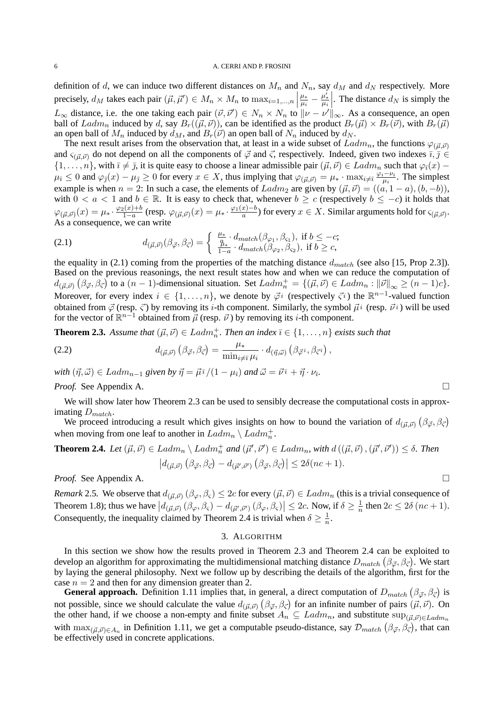definition of d, we can induce two different distances on  $M_n$  and  $N_n$ , say  $d_M$  and  $d_N$  respectively. More precisely,  $d_M$  takes each pair  $(\vec{\mu}, \vec{\mu}') \in M_n \times M_n$  to  $\max_{i=1,\dots,n}$ µ∗  $\frac{\mu_*}{\mu_i} - \frac{\mu_*'}{\mu_i}$ . The distance  $d_N$  is simply the  $L_{\infty}$  distance, i.e. the one taking each pair  $(\vec{\nu}, \vec{\nu}') \in N_n \times N_n$  to  $\|\nu - \nu'\|_{\infty}$ . As a consequence, an open ball of  $Ladm_n$  induced by d, say  $B_r((\vec{\mu}, \vec{\nu}))$ , can be identified as the product  $B_r(\vec{\mu}) \times B_r(\vec{\nu})$ , with  $B_r(\vec{\mu})$ an open ball of  $M_n$  induced by  $d_M$ , and  $B_r(\vec{v})$  an open ball of  $N_n$  induced by  $d_N$ .

The next result arises from the observation that, at least in a wide subset of  $Ladm_n$ , the functions  $\varphi_{(\vec{u},\vec{v})}$ and  $\varsigma_{(\vec{u},\vec{v})}$  do not depend on all the components of  $\vec{\varphi}$  and  $\vec{\varsigma}$ , respectively. Indeed, given two indexes  $\bar{i},\bar{j} \in$  $\{1,\ldots,n\}$ , with  $\overline{\imath}\neq\overline{\jmath}$ , it is quite easy to choose a linear admissible pair  $(\vec{\mu},\vec{\nu})\in \text{Ladm}_n$  such that  $\varphi_{\overline{\imath}}(x)$  –  $\mu_{\bar{i}} \leq 0$  and  $\varphi_{\bar{j}}(x) - \mu_{\bar{j}} \geq 0$  for every  $x \in X$ , thus implying that  $\varphi_{(\vec{\mu}, \vec{\nu})} = \mu_* \cdot \max_{i \neq \bar{i}} \frac{\varphi_i - \nu_i}{\mu_i}$  $rac{(-\nu_i)}{\mu_i}$ . The simplest example is when  $n = 2$ : In such a case, the elements of  $Ladm_2$  are given by  $(\vec{\mu}, \vec{\nu}) = ((a, 1 - a), (b, -b)),$ with  $0 < a < 1$  and  $b \in \mathbb{R}$ . It is easy to check that, whenever  $b \ge c$  (respectively  $b \le -c$ ) it holds that  $\varphi_{(\vec{\mu},\vec{\nu})}(x) = \mu_* \cdot \frac{\varphi_2(x) + b}{1 - a}$  $\frac{\alpha_2(x)+b}{1-a}$  (resp.  $\varphi_{(\vec{\mu},\vec{\nu})}(x)=\mu_*\cdot\frac{\varphi_1(x)-b}{a}$  $\frac{x}{a}^{(x)-b}$ ) for every  $x \in X$ . Similar arguments hold for  $\varsigma_{(\vec{\mu}, \vec{\nu})}$ . As a consequence, we can write

(2.1) 
$$
d_{(\vec{\mu}, \vec{\nu})}(\beta_{\vec{\varphi}}, \beta_{\vec{\varsigma}}) = \begin{cases} \frac{\mu_{*}}{\beta} \cdot d_{match}(\beta_{\varphi_{1}}, \beta_{\varsigma_{1}}), \text{ if } b \leq -c;\\ \frac{\mu_{*}}{1-a} \cdot d_{match}(\beta_{\varphi_{2}}, \beta_{\varsigma_{2}}), \text{ if } b \geq c, \end{cases}
$$

the equality in (2.1) coming from the properties of the matching distance  $d_{match}$  (see also [15, Prop 2.3]). Based on the previous reasonings, the next result states how and when we can reduce the computation of  $d_{(\vec{\mu}, \vec{\nu})} (\beta_{\vec{\varphi}}, \beta_{\vec{\varsigma}})$  to a  $(n-1)$ -dimensional situation. Set  $Ladm_n = \{(\vec{\mu}, \vec{\nu}) \in Ladm_n : ||\vec{\nu}||_{\infty} \ge (n-1)c\}.$ Moreover, for every index  $i \in \{1,\ldots,n\}$ , we denote by  $\vec{\varphi}^i$  (respectively  $\vec{\varsigma}^i$ ) the  $\mathbb{R}^{n-1}$ -valued function obtained from  $\vec{\varphi}$  (resp.  $\vec{\varsigma}$ ) by removing its *i*-th component. Similarly, the symbol  $\vec{\mu}$ <sup>i</sup> (resp.  $\vec{\nu}$ <sup>i</sup>) will be used for the vector of  $\mathbb{R}^{n-1}$  obtained from  $\vec{\mu}$  (resp.  $\vec{\nu}$ ) by removing its *i*-th component.

**Theorem 2.3.** Assume that  $(\vec{\mu}, \vec{\nu}) \in Ladm_n^+$ . Then an index  $\bar{\imath} \in \{1, \ldots, n\}$  exists such that

(2.2) 
$$
d_{(\vec{\mu},\vec{\nu})}\left(\beta_{\vec{\varphi}},\beta_{\vec{\varsigma}}\right)=\frac{\mu_*}{\min_{i\neq \bar{\imath}}\mu_i}\cdot d_{(\vec{\eta},\vec{\omega})}\left(\beta_{\vec{\varphi}}\bar{\imath},\beta_{\vec{\varsigma}}\bar{\imath}\right),
$$

 $with~(\vec{\eta}, \vec{\omega}) \in Ladm_{n-1}$  given by  $\vec{\eta} = \vec{\mu}^{\bar{\imath}}/(1-\mu_{\bar{\imath}})$  and  $\vec{\omega} = \vec{\nu}^{\bar{\imath}} + \vec{\eta} \cdot \nu_{\bar{\imath}}$ .

*Proof.* See Appendix A. □

We will show later how Theorem 2.3 can be used to sensibly decrease the computational costs in approximating  $D_{match}$ .

We proceed introducing a result which gives insights on how to bound the variation of  $d_{(\vec{\mu},\vec{\nu})}(\beta_{\vec{\varphi}},\beta_{\vec{\varsigma}})$ when moving from one leaf to another in  $Ladm_n \setminus Ladm_n^+$ .

# **Theorem 2.4.** Let  $(\vec{\mu}, \vec{\nu}) \in \text{Ladm}_n \setminus \text{Ladm}_n^+$  and  $(\vec{\mu}', \vec{\nu}') \in \text{Ladm}_n$ , with  $d((\vec{\mu}, \vec{\nu}), (\vec{\mu}', \vec{\nu}')) \leq \delta$ . Then  $|d_{(\vec{\mu}, \vec{\nu})} (\beta_{\vec{\varphi}}, \beta_{\vec{\varsigma}}) - d_{(\vec{\mu}', \vec{\nu}')} (\beta_{\vec{\varphi}}, \beta_{\vec{\varsigma}})| \leq 2\delta(nc+1).$

*Proof.* See Appendix A. □

*Remark* 2.5. We observe that  $d_{(\vec{\mu}, \vec{\nu})} (\beta_{\varphi}, \beta_{\varsigma}) \leq 2c$  for every  $(\vec{\mu}, \vec{\nu}) \in Ladm_n$  (this is a trivial consequence of Theorem 1.8); thus we have  $|d_{(\vec{\mu}, \vec{\nu})}(\beta_{\varphi}, \beta_{\varsigma}) - d_{(\vec{\mu}', \vec{\nu}')}(\beta_{\varphi}, \beta_{\varsigma})| \leq 2c$ . Now, if  $\delta \geq \frac{1}{n}$  then  $2c \leq 2\delta$  (nc + 1). Consequently, the inequality claimed by Theorem 2.4 is trivial when  $\delta \geq \frac{1}{n}$ .

# 3. ALGORITHM

In this section we show how the results proved in Theorem 2.3 and Theorem 2.4 can be exploited to develop an algorithm for approximating the multidimensional matching distance  $D_{match}(\beta_{\vec{\varphi}}, \beta_{\vec{\varsigma}})$ . We start by laying the general philosophy. Next we follow up by describing the details of the algorithm, first for the case  $n = 2$  and then for any dimension greater than 2.

**General approach.** Definition 1.11 implies that, in general, a direct computation of  $D_{match} (\beta_{\vec{\varphi}}, \beta_{\vec{\varsigma}})$  is not possible, since we should calculate the value  $d_{(\vec{\mu}, \vec{\nu})} (\beta_{\vec{\varphi}}, \beta_{\vec{\varsigma}})$  for an infinite number of pairs  $(\vec{\mu}, \vec{\nu})$ . On the other hand, if we choose a non-empty and finite subset  $A_n \subseteq Ladm_n$ , and substitute  $\sup_{(\vec{\mu},\vec{\nu})\in Ladm_n}$ with  $\max_{(\vec{\mu},\vec{\nu})\in A_n}$  in Definition 1.11, we get a computable pseudo-distance, say  $\mathcal{D}_{match}(\beta_{\vec{\varphi}},\beta_{\vec{\varsigma}})$ , that can be effectively used in concrete applications.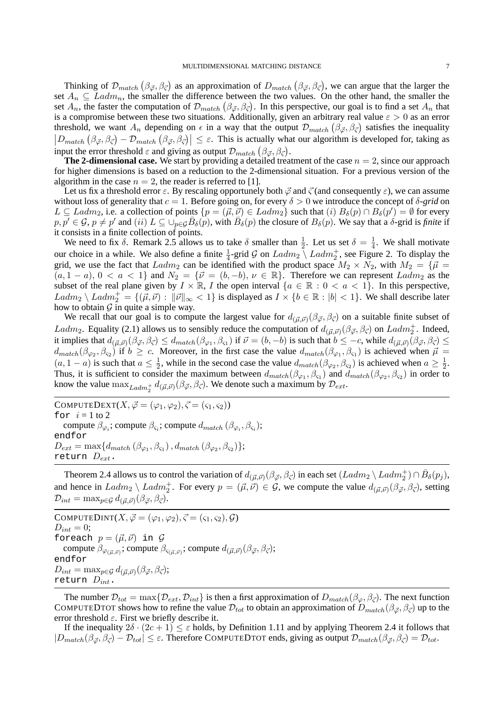Thinking of  $\mathcal{D}_{match} (\beta_{\vec{\varphi}}, \beta_{\vec{\varsigma}})$  as an approximation of  $D_{match} (\beta_{\vec{\varphi}}, \beta_{\vec{\varsigma}})$ , we can argue that the larger the set  $A_n \subseteq \text{Ladm}_n$ , the smaller the difference between the two values. On the other hand, the smaller the set  $A_n$ , the faster the computation of  $\mathcal{D}_{match}(\beta_{\vec{\varphi}},\beta_{\vec{\varsigma}})$ . In this perspective, our goal is to find a set  $A_n$  that is a compromise between these two situations. Additionally, given an arbitrary real value  $\varepsilon > 0$  as an error threshold, we want  $A_n$  depending on  $\epsilon$  in a way that the output  $\mathcal{D}_{match}(\beta_{\vec{\varphi}}, \beta_{\vec{\varsigma}})$  satisfies the inequality  $\left|D_{match}\left(\beta_{\vec{\varphi}},\beta_{\vec{\varsigma}}\right)-\mathcal{D}_{match}\left(\beta_{\vec{\varphi}},\beta_{\vec{\varsigma}}\right)\right|\leq\varepsilon$ . This is actually what our algorithm is developed for, taking as input the error threshold  $\varepsilon$  and giving as output  $\mathcal{D}_{match} (\beta_{\vec{\varphi}}, \beta_{\vec{\varsigma}})$ .

**The 2-dimensional case.** We start by providing a detailed treatment of the case  $n = 2$ , since our approach for higher dimensions is based on a reduction to the 2-dimensional situation. For a previous version of the algorithm in the case  $n = 2$ , the reader is referred to [1].

Let us fix a threshold error  $\varepsilon$ . By rescaling opportunely both  $\vec{\varphi}$  and  $\vec{\varsigma}$  (and consequently  $\varepsilon$ ), we can assume without loss of generality that  $c = 1$ . Before going on, for every  $\delta > 0$  we introduce the concept of  $\delta$ -grid on  $L \subseteq Ladm_2$ , i.e. a collection of points  $\{p = (\vec{\mu}, \vec{\nu}) \in Ladm_2\}$  such that  $(i)$   $B_\delta(p) \cap B_\delta(p') = \emptyset$  for every  $p, p' \in \mathcal{G}, p \neq p'$  and  $(ii) L \subseteq \bigcup_{p \in \mathcal{G}} \overline{B}_{\delta}(p)$ , with  $\overline{B}_{\delta}(p)$  the closure of  $B_{\delta}(p)$ . We say that a  $\delta$ -grid is *finite* if it consists in a finite collection of points.

We need to fix  $\delta$ . Remark 2.5 allows us to take  $\delta$  smaller than  $\frac{1}{2}$ . Let us set  $\delta = \frac{1}{4}$  $\frac{1}{4}$ . We shall motivate our choice in a while. We also define a finite  $\frac{1}{4}$ -grid G on  $Ladm_2 \setminus Ladm_2^+$ , see Figure 2. To display the grid, we use the fact that Ladm<sub>2</sub> can be identified with the product space  $M_2 \times N_2$ , with  $M_2 = \{\vec{\mu} =$  $(a, 1 - a), 0 < a < 1$  and  $N_2 = \{\vec{\nu} = (b, -b), \nu \in \mathbb{R}\}.$  Therefore we can represent  $Ladm_2$  as the subset of the real plane given by  $I \times \mathbb{R}$ , I the open interval  $\{a \in \mathbb{R} : 0 < a < 1\}$ . In this perspective,  $Ladm_2 \setminus Ladm_2^+ = \{(\vec{\mu}, \vec{\nu}) : ||\vec{\nu}||_{\infty} < 1\}$  is displayed as  $I \times \{b \in \mathbb{R} : |b| < 1\}$ . We shall describe later how to obtain  $\mathcal G$  in quite a simple way.

We recall that our goal is to compute the largest value for  $d_{(\vec{\mu},\vec{\nu})}(\beta_{\vec{\varphi}},\beta_{\vec{\varsigma}})$  on a suitable finite subset of Ladm<sub>2</sub>. Equality (2.1) allows us to sensibly reduce the computation of  $d_{(\vec{\mu}, \vec{\nu})}(\beta_{\vec{\varphi}}, \beta_{\vec{\varsigma}})$  on Ladm<sub>2</sub><sup>+</sup>. Indeed, it implies that  $d_{(\vec{\mu}, \vec{\nu})}(\beta_{\vec{\varphi}}, \beta_{\vec{\varsigma}}) \leq d_{match}(\beta_{\varphi_1}, \beta_{\varsigma_1})$  if  $\vec{\nu} = (b, -b)$  is such that  $b \leq -c$ , while  $d_{(\vec{\mu}, \vec{\nu})}(\beta_{\vec{\varphi}}, \beta_{\vec{\varsigma}}) \leq$  $d_{match}(\beta_{\varphi_2}, \beta_{\varsigma_2})$  if  $b \geq c$ . Moreover, in the first case the value  $d_{match}(\beta_{\varphi_1}, \beta_{\varsigma_1})$  is achieved when  $\vec{\mu} =$  $(a, 1-a)$  is such that  $a \leq \frac{1}{2}$ , while in the second case the value  $d_{match}(\beta_{\varphi_2}, \beta_{\varsigma_2})$  is achieved when  $a \geq \frac{1}{2}$ . (*a*, 1 a) is such that  $a \leq 2$ , while in the second case the value  $a_{match}(\beta_{\varphi_1}, \beta_{\varsigma_1})$  is achieved when  $a \leq 2$ .<br>Thus, it is sufficient to consider the maximum between  $d_{match}(\beta_{\varphi_1}, \beta_{\varsigma_1})$  and  $d_{match}(\beta_{\varphi_2}, \beta$ know the value  $\max_{Ladm_2^+} d_{(\vec{\mu}, \vec{\nu})}(\beta_{\vec{\varphi}}, \beta_{\vec{\varsigma}})$ . We denote such a maximum by  $\mathcal{D}_{ext}$ .

COMPUTEDEXT $(X, \vec{\varphi} = (\varphi_1, \varphi_2), \vec{\varsigma} = (\varsigma_1, \varsigma_2)$ for  $i = 1$  to 2 compute  $\beta_{\varphi_i}$ ; compute  $\beta_{\varsigma_i}$ ; compute  $d_{match}\left(\beta_{\varphi_i},\beta_{\varsigma_i}\right)$ ; endfor  $D_{ext} = \max\{d_{match}\left(\beta_{\varphi_1}, \beta_{\varsigma_1}\right), d_{match}\left(\beta_{\varphi_2}, \beta_{\varsigma_2}\right)\};$ return  $D_{ext}$ .

Theorem 2.4 allows us to control the variation of  $d_{(\vec{\mu}, \vec{\nu})}(\beta_{\vec{\varphi}}, \beta_{\vec{\varsigma}})$  in each set  $(Ladm_2 \setminus Ladm_2^+) \cap \bar{B}_\delta(p_j)$ , and hence in  $Ladm_2 \setminus Ladm_2^+$ . For every  $p = (\vec{\mu}, \vec{\nu}) \in \mathcal{G}$ , we compute the value  $d_{(\vec{\mu}, \vec{\nu})}(\beta_{\vec{\varphi}}, \beta_{\vec{\varsigma}})$ , setting  $\mathcal{D}_{int} = \max_{p \in \mathcal{G}} d_{(\vec{\mu}, \vec{\nu})} (\beta_{\vec{\varphi}}, \beta_{\vec{\varsigma}}).$ 

COMPUTEDINT $(X, \vec{\varphi} = (\varphi_1, \varphi_2), \vec{\varsigma} = (\varsigma_1, \varsigma_2), \vec{\varsigma})$  $D_{int} = 0;$ foreach  $p = (\vec{\mu}, \vec{\nu})$  in  $\mathcal G$ compute  $\beta_{\varphi_{(\vec{\mu}, \vec{\nu})}}$ ; compute  $\beta_{\varsigma_{(\vec{\mu}, \vec{\nu})}}$ ; compute  $d_{(\vec{\mu}, \vec{\nu})}(\beta_{\vec{\varphi}}, \beta_{\vec{\varsigma}})$ ; endfor  $D_{int} = \max_{p \in \mathcal{G}} d_{(\vec{\mu}, \vec{\nu})} (\beta_{\vec{\varphi}}, \beta_{\vec{\varsigma}});$ return  $D_{int}$ .

The number  $\mathcal{D}_{tot} = \max\{\mathcal{D}_{ext}, \mathcal{D}_{int}\}\$ is then a first approximation of  $D_{match}(\beta_{\varphi}, \beta_{\vec{\zeta}})\$ . The next function COMPUTEDTOT shows how to refine the value  $\mathcal{D}_{tot}$  to obtain an approximation of  $D_{match}(\beta_{\vec{\varphi}}, \beta_{\vec{\varsigma}})$  up to the error threshold  $\varepsilon$ . First we briefly describe it.

If the inequality  $2\delta \cdot (2c+1) \leq \varepsilon$  holds, by Definition 1.11 and by applying Theorem 2.4 it follows that  $|D_{match}(\beta_{\vec{\omega}}, \beta_{\vec{\zeta}}) - \mathcal{D}_{tot}| \leq \varepsilon$ . Therefore COMPUTEDTOT ends, giving as output  $\mathcal{D}_{match}(\beta_{\vec{\omega}}, \beta_{\vec{\zeta}}) = \mathcal{D}_{tot}$ .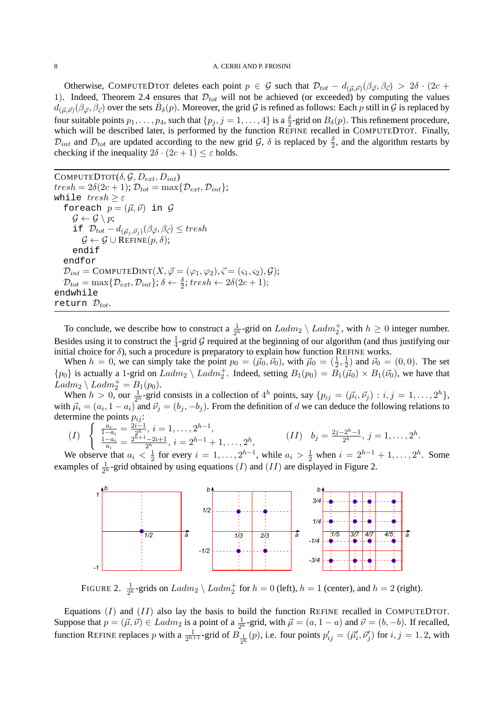Otherwise, COMPUTEDTOT deletes each point  $p \in G$  such that  $\mathcal{D}_{tot} - d_{(\vec{\mu}, \vec{\nu})}(\beta_{\vec{\varphi}}, \beta_{\vec{\varsigma}}) > 2\delta \cdot (2c +$ 1). Indeed, Theorem 2.4 ensures that  $\mathcal{D}_{tot}$  will not be achieved (or exceeded) by computing the values  $d_{(\vec{\mu},\vec{\nu})}(\beta_{\vec{\varphi}},\beta_{\vec{\varsigma}})$  over the sets  $\bar{B}_{\delta}(p)$ . Moreover, the grid G is refined as follows: Each p still in G is replaced by four suitable points  $p_1, \ldots, p_4$ , such that  $\{p_j, j = 1, \ldots, 4\}$  is a  $\frac{\delta}{2}$ -grid on  $B_\delta(p)$ . This refinement procedure, which will be described later, is performed by the function REFINE recalled in COMPUTEDTOT. Finally,  $\mathcal{D}_{int}$  and  $\mathcal{D}_{tot}$  are updated according to the new grid  $\mathcal{G}$ ,  $\delta$  is replaced by  $\frac{\delta}{2}$ , and the algorithm restarts by checking if the inequality  $2\delta \cdot (2c+1) \leq \varepsilon$  holds.

COMPUTEDTOT $(\delta, \mathcal{G}, D_{ext}, D_{int})$  $tresh = 2\delta(2c+1); \mathcal{D}_{tot} = \max\{\mathcal{D}_{ext}, \mathcal{D}_{int}\};$ while  $tresh > \varepsilon$ foreach  $p = (\vec{\mu}, \vec{\nu})$  in  $\mathcal G$  $\mathcal{G} \leftarrow \mathcal{G} \setminus p$ ; if  $\mathcal{D}_{tot} - d_{(\vec{\mu}_j, \vec{\nu}_j)}(\beta_{\vec{\varphi}}, \beta_{\vec{\varsigma}}) \leq tresh$  $\mathcal{G} \leftarrow \mathcal{G} \cup \text{REFINE}(p, \delta);$ endif endfor  ${\cal D}_{int} = {\rm COMPUTeDINT}(X,\vec\varphi=(\varphi_1,\varphi_2),\vec\varsigma=(\varsigma_1,\varsigma_2),{\cal G});$  $\mathcal{D}_{tot} = \max\{\mathcal{D}_{ext}, \mathcal{D}_{int}\}; \delta \leftarrow \frac{\delta}{2}; \text{tresh} \leftarrow 2\delta(2c+1);$ endwhile return  $\mathcal{D}_{tot}$ 

To conclude, we describe how to construct a  $\frac{1}{2^h}$ -grid on  $Ladm_2 \setminus Ladm_2^+$ , with  $h \geq 0$  integer number. Besides using it to construct the  $\frac{1}{4}$ -grid G required at the beginning of our algorithm (and thus justifying our initial choice for  $\delta$ ), such a procedure is preparatory to explain how function REFINE works.

When  $h = 0$ , we can simply take the point  $p_0 = (\vec{\mu}_0, \vec{\nu}_0)$ , with  $\vec{\mu}_0 = (\frac{1}{2}, \frac{1}{2})$  $(\frac{1}{2})$  and  $\vec{\nu}_0 = (0, 0)$ . The set  $\{p_0\}$  is actually a 1-grid on  $Ladm_2 \setminus Ladm_2^+$ . Indeed, setting  $B_1(p_0) = \overline{B_1(\vec{\mu}_0)} \times B_1(\vec{\nu}_0)$ , we have that  $Ladm_2 \setminus Ladm_2^+ = B_1(p_0).$ 

When  $h > 0$ , our  $\frac{1}{2^h}$ -grid consists in a collection of  $4^h$  points, say  $\{p_{ij} = (\vec{\mu}_i, \vec{\nu}_j) : i, j = 1, ..., 2^h\}$ , with  $\vec{\mu}_i = (a_i, 1 - a_i)$  and  $\vec{\nu}_j = (b_j, -b_j)$ . From the definition of d we can deduce the following relations to determine the points  $p_{ij}$ :

$$
(I) \begin{cases} \frac{a_i}{1-a_i} = \frac{2i-1}{2^h}, i = 1, \dots, 2^{h-1}, \\ \frac{1-a_i}{a_i} = \frac{2^{h+1}-2i+1}{2^h}, i = 2^{h-1}+1, \dots, 2^h, \end{cases} (II) \quad b_j = \frac{2j-2^h-1}{2^h}, j = 1, \dots, 2^h.
$$

We observe that  $a_i < \frac{1}{2}$  $\frac{1}{2}$  for every  $i = 1, ..., 2^{h-1}$ , while  $a_i > \frac{1}{2}$  when  $i = 2^{h-1} + 1, ..., 2^h$ . Some examples of  $\frac{1}{2^h}$ -grid obtained by using equations (*I*) and (*II*) are displayed in Figure 2.



FIGURE 2.  $\frac{1}{2^h}$ -grids on  $Ladm_2 \setminus Ladm_2^+$  for  $h = 0$  (left),  $h = 1$  (center), and  $h = 2$  (right).

Equations  $(I)$  and  $(II)$  also lay the basis to build the function REFINE recalled in COMPUTEDTOT. Suppose that  $p = (\vec{\mu}, \vec{\nu}) \in \text{Ladm}_2$  is a point of a  $\frac{1}{2^h}$ -grid, with  $\vec{\mu} = (a, 1 - a)$  and  $\vec{\nu} = (b, -b)$ . If recalled, function REFINE replaces p with a  $\frac{1}{2^{h+1}}$ -grid of  $B_{\frac{1}{2^h}}(p)$ , i.e. four points  $p'_{ij} = (\vec{\mu}'_i, \vec{\nu}'_j)$  for  $i, j = 1, 2$ , with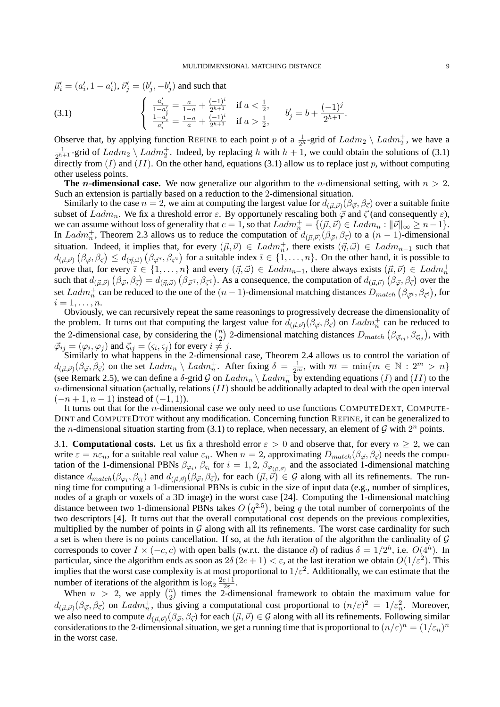$$
\vec{\mu}'_i = (a'_i, 1 - a'_i), \vec{\nu}'_j = (b'_j, -b'_j)
$$
 and such that

(3.1) 
$$
\begin{cases} \frac{a'_i}{1-a'_i} = \frac{a}{1-a} + \frac{(-1)^i}{2^{h+1}} & \text{if } a < \frac{1}{2}, \\ \frac{1-a'_i}{a'_i} = \frac{1-a}{a} + \frac{(-1)^i}{2^{h+1}} & \text{if } a > \frac{1}{2}, \end{cases} b'_j = b + \frac{(-1)^j}{2^{h+1}}.
$$

Observe that, by applying function REFINE to each point p of a  $\frac{1}{2^h}$ -grid of  $Ladm_2 \setminus Ladm_2^+$ , we have a 1  $\frac{1}{2^{h+1}}$ -grid of  $Ladm_2 \setminus Ladm_2^+$ . Indeed, by replacing h with  $h+1$ , we could obtain the solutions of (3.1) directly from  $(I)$  and  $(II)$ . On the other hand, equations (3.1) allow us to replace just p, without computing other useless points.

**The** n-dimensional case. We now generalize our algorithm to the *n*-dimensional setting, with  $n > 2$ . Such an extension is partially based on a reduction to the 2-dimensional situation.

Similarly to the case  $n=2$ , we aim at computing the largest value for  $d_{(\vec{\mu},\vec{\nu})}(\beta_{\vec{\varphi}},\beta_{\vec{\varsigma}})$  over a suitable finite subset of  $Ladm_n$ . We fix a threshold error  $\varepsilon$ . By opportunely rescaling both  $\vec{\varphi}$  and  $\vec{\varsigma}$  (and consequently  $\varepsilon$ ), we can assume without loss of generality that  $c = 1$ , so that  $Ladm_n^+ = \{(\vec{\mu}, \vec{\nu}) \in Ladm_n : ||\vec{\nu}||_{\infty} \ge n-1\}.$ In Ladm<sup>+</sup><sub>n</sub>, Theorem 2.3 allows us to reduce the computation of  $d_{(\vec{\mu}, \vec{\nu})}(\beta_{\vec{\varphi}}, \beta_{\vec{\varsigma}})$  to a  $(n-1)$ -dimensional situation. Indeed, it implies that, for every  $(\vec{\mu}, \vec{\nu}) \in \text{Ladm}_n^+$ , there exists  $(\vec{\eta}, \vec{\omega}) \in \text{Ladm}_{n-1}$  such that  $d_{(\vec{\mu},\vec{\nu})}(\beta_{\vec{\varphi}},\beta_{\vec{\varsigma}}) \leq d_{(\vec{\eta},\vec{\omega})}(\beta_{\vec{\varphi}^{\bar{\imath}}},\beta_{\vec{\varsigma}^{\bar{\imath}}})$  for a suitable index  $\bar{\imath} \in \{1,\ldots,n\}$ . On the other hand, it is possible to prove that, for every  $\bar{\imath} \in \{1, ..., n\}$  and every  $(\vec{\eta}, \vec{\omega}) \in \text{Ladm}_{n-1}$ , there always exists  $(\vec{\mu}, \vec{\nu}) \in \text{Ladm}_n^+$ <br>such that  $d_{(\vec{\mu}, \vec{\nu})}(\beta_{\vec{\varphi}}, \beta_{\vec{\varsigma}}) = d_{(\vec{\eta}, \vec{\omega})}(\beta_{\vec{\varphi}}, \beta_{\vec{\varsigma}^{\eta}})$ . As a consequence, set  $Ladm_n^+$  can be reduced to the one of the  $(n-1)$ -dimensional matching distances  $D_{match}(\beta_{\vec{\varphi}^i},\beta_{\vec{\varsigma}^i})$ , for  $i=1,\ldots,n.$ 

Obviously, we can recursively repeat the same reasonings to progressively decrease the dimensionality of the problem. It turns out that computing the largest value for  $d_{(\vec{\mu}, \vec{\nu})}(\beta_{\vec{\varphi}}, \beta_{\vec{\varsigma}})$  on  $Ladm_n^+$  can be reduced to the 2-dimensional case, by considering the  $\binom{n}{2}$  $\binom{n}{2}$  2-dimensional matching distances  $D_{match}\left(\beta_{\vec{\varphi}_{ij}},\beta_{\vec{\varsigma}_{ij}}\right)$ , with  $\vec{\varphi}_{ij} = (\varphi_i, \varphi_j)$  and  $\vec{\varsigma}_{ij} = (\varsigma_i, \varsigma_j)$  for every  $i \neq j$ .

Similarly to what happens in the 2-dimensional case, Theorem 2.4 allows us to control the variation of  $d_{(\vec{\mu},\vec{\nu})}(\beta_{\vec{\varphi}},\beta_{\vec{\varsigma}})$  on the set  $Ladm_n \setminus Ladm_n^+$ . After fixing  $\delta = \frac{1}{2^{\overline{m}}}$ , with  $\overline{m} = \min\{m \in \mathbb{N} : 2^m > n\}$ (see Remark 2.5), we can define a  $\delta$ -grid  $\mathcal G$  on  $Ladm_n \setminus Ladm_n^+$  by extending equations  $(I)$  and  $(II)$  to the  $n$ -dimensional situation (actually, relations  $(II)$  should be additionally adapted to deal with the open interval  $(-n+1, n-1)$  instead of  $(-1, 1)$ ).

It turns out that for the n-dimensional case we only need to use functions COMPUTEDEXT, COMPUTE-DINT and COMPUTEDTOT without any modification. Concerning function REFINE, it can be generalized to the *n*-dimensional situation starting from (3.1) to replace, when necessary, an element of  $G$  with  $2^n$  points.

3.1. **Computational costs.** Let us fix a threshold error  $\varepsilon > 0$  and observe that, for every  $n \ge 2$ , we can write  $\varepsilon = n\varepsilon_n$ , for a suitable real value  $\varepsilon_n$ . When  $n = 2$ , approximating  $D_{match}(\beta_{\vec{\varphi}}, \beta_{\vec{\varsigma}})$  needs the computation of the 1-dimensional PBNs  $\beta_{\varphi_i}$ ,  $\beta_{\varsigma_i}$  for  $i=1,2$ ,  $\beta_{\varphi_{(\vec{\mu},\vec{\nu})}}$  and the associated 1-dimensional matching distance  $d_{match}(\beta_{\varphi_i}, \beta_{\varsigma_i})$  and  $d_{(\vec{\mu}, \vec{\nu})}(\beta_{\vec{\varphi}}, \beta_{\vec{\varsigma}})$ , for each  $(\vec{\mu}, \vec{\nu}) \in \mathcal{G}$  along with all its refinements. The running time for computing a 1-dimensional PBNs is cubic in the size of input data (e.g., number of simplices, nodes of a graph or voxels of a 3D image) in the worst case [24]. Computing the 1-dimensional matching distance between two 1-dimensional PBNs takes  $O(q^{2.5})$ , being q the total number of cornerpoints of the two descriptors [4]. It turns out that the overall computational cost depends on the previous complexities, multiplied by the number of points in  $G$  along with all its refinements. The worst case cardinality for such a set is when there is no points cancellation. If so, at the hth iteration of the algorithm the cardinality of  $G$ corresponds to cover  $I \times (-c, c)$  with open balls (w.r.t. the distance d) of radius  $\delta = 1/2^h$ , i.e.  $O(4^h)$ . In particular, since the algorithm ends as soon as  $2\delta(2c+1) < \varepsilon$ , at the last iteration we obtain  $O(1/\varepsilon^2)$ . This implies that the worst case complexity is at most proportional to  $1/\varepsilon^2$ . Additionally, we can estimate that the number of iterations of the algorithm is  $\log_2 \frac{2c+1}{2\varepsilon}$  $rac{c+1}{2\varepsilon}$ .

When  $n > 2$ , we apply  $\binom{n}{2}$  $n_2$ ) times the 2-dimensional framework to obtain the maximum value for  $d_{(\vec{\mu},\vec{\nu})}(\beta_{\vec{\varphi}},\beta_{\vec{\varsigma}})$  on  $Ladm_n^+$ , thus giving a computational cost proportional to  $(n/\varepsilon)^2 = 1/\varepsilon_n^2$ . Moreover, we also need to compute  $d_{(\vec{\mu},\vec{\nu})}(\beta_{\vec{\varphi}},\beta_{\vec{\varsigma}})$  for each  $(\vec{\mu},\vec{\nu}) \in \mathcal{G}$  along with all its refinements. Following similar considerations to the 2-dimensional situation, we get a running time that is proportional to  $(n/\varepsilon)^n = (1/\varepsilon_n)^n$ in the worst case.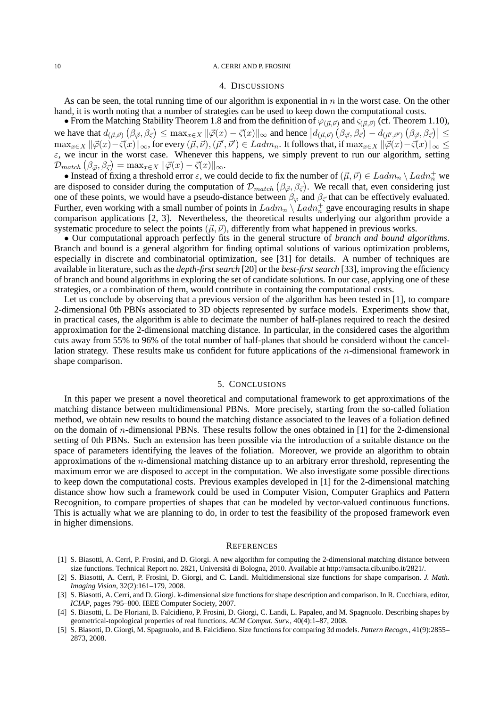## 4. DISCUSSIONS

As can be seen, the total running time of our algorithm is exponential in  $n$  in the worst case. On the other hand, it is worth noting that a number of strategies can be used to keep down the computational costs.

• From the Matching Stability Theorem 1.8 and from the definition of  $\varphi_{(\vec{\mu},\vec{\nu})}$  and  $\varsigma_{(\vec{\mu},\vec{\nu})}$  (cf. Theorem 1.10), we have that  $d_{(\vec{\mu},\vec{\nu})}\left(\beta_{\vec{\varphi}},\beta_{\vec{\varsigma}}\right) \leq \max_{x\in X}\|\vec{\varphi}(x)-\vec{\varsigma}(x)\|_{\infty}$  and hence  $|d_{(\vec{\mu},\vec{\nu})}\left(\beta_{\vec{\varphi}},\beta_{\vec{\varsigma}}\right)-d_{(\vec{\mu}',\vec{\nu}')} \left(\beta_{\vec{\varphi}},\beta_{\vec{\varsigma}}\right)| \leq$  $\max_{x\in X}\|\vec{\varphi}(x)-\vec{\varsigma}(x)\|_{\infty}$ , for every  $(\vec{\mu},\vec{\nu}),(\vec{\mu}',\vec{\nu}')\in Ladm_n.$  It follows that, if  $\max_{x\in X}\|\vec{\varphi}(x)-\vec{\varsigma}(x)\|_{\infty}\leq$  $\varepsilon$ , we incur in the worst case. Whenever this happens, we simply prevent to run our algorithm, setting  $\mathcal{D}_{match}\left(\beta_{\vec{\varphi}},\beta_{\vec{\varsigma}}\right)=\max_{x\in X}\|\vec{\varphi}(x)-\vec{\varsigma}(x)\|_{\infty}.$ 

• Instead of fixing a threshold error  $\varepsilon$ , we could decide to fix the number of  $(\vec{\mu}, \vec{\nu}) \in Ladm_n \setminus Ladh_n^+$  we are disposed to consider during the computation of  $\mathcal{D}_{match} (\beta_{\vec{\varphi}}, \beta_{\vec{\varsigma}})$ . We recall that, even considering just one of these points, we would have a pseudo-distance between  $\beta_{\varphi}$  and  $\beta_{\vec{\zeta}}$  that can be effectively evaluated. Further, even working with a small number of points in  $Ladm_n \setminus Ladm_n^+$  gave encouraging results in shape comparison applications [2, 3]. Nevertheless, the theoretical results underlying our algorithm provide a systematic procedure to select the points  $(\vec{\mu}, \vec{\nu})$ , differently from what happened in previous works.

• Our computational approach perfectly fits in the general structure of *branch and bound algorithms*. Branch and bound is a general algorithm for finding optimal solutions of various optimization problems, especially in discrete and combinatorial optimization, see [31] for details. A number of techniques are available in literature, such as the *depth-first search* [20] or the *best-first search* [33], improving the efficiency of branch and bound algorithms in exploring the set of candidate solutions. In our case, applying one of these strategies, or a combination of them, would contribute in containing the computational costs.

Let us conclude by observing that a previous version of the algorithm has been tested in [1], to compare 2-dimensional 0th PBNs associated to 3D objects represented by surface models. Experiments show that, in practical cases, the algorithm is able to decimate the number of half-planes required to reach the desired approximation for the 2-dimensional matching distance. In particular, in the considered cases the algorithm cuts away from 55% to 96% of the total number of half-planes that should be considerd without the cancellation strategy. These results make us confident for future applications of the n-dimensional framework in shape comparison.

# 5. CONCLUSIONS

In this paper we present a novel theoretical and computational framework to get approximations of the matching distance between multidimensional PBNs. More precisely, starting from the so-called foliation method, we obtain new results to bound the matching distance associated to the leaves of a foliation defined on the domain of n-dimensional PBNs. These results follow the ones obtained in [1] for the 2-dimensional setting of 0th PBNs. Such an extension has been possible via the introduction of a suitable distance on the space of parameters identifying the leaves of the foliation. Moreover, we provide an algorithm to obtain approximations of the n-dimensional matching distance up to an arbitrary error threshold, representing the maximum error we are disposed to accept in the computation. We also investigate some possible directions to keep down the computational costs. Previous examples developed in [1] for the 2-dimensional matching distance show how such a framework could be used in Computer Vision, Computer Graphics and Pattern Recognition, to compare properties of shapes that can be modeled by vector-valued continuous functions. This is actually what we are planning to do, in order to test the feasibility of the proposed framework even in higher dimensions.

## **REFERENCES**

- [1] S. Biasotti, A. Cerri, P. Frosini, and D. Giorgi. A new algorithm for computing the 2-dimensional matching distance between size functions. Technical Report no. 2821, Università di Bologna, 2010. Available at http://amsacta.cib.unibo.it/2821/.
- [2] S. Biasotti, A. Cerri, P. Frosini, D. Giorgi, and C. Landi. Multidimensional size functions for shape comparison. *J. Math. Imaging Vision*, 32(2):161–179, 2008.
- [3] S. Biasotti, A. Cerri, and D. Giorgi. k-dimensional size functions for shape description and comparison. In R. Cucchiara, editor, *ICIAP*, pages 795–800. IEEE Computer Society, 2007.
- [4] S. Biasotti, L. De Floriani, B. Falcidieno, P. Frosini, D. Giorgi, C. Landi, L. Papaleo, and M. Spagnuolo. Describing shapes by geometrical-topological properties of real functions. *ACM Comput. Surv.*, 40(4):1–87, 2008.
- [5] S. Biasotti, D. Giorgi, M. Spagnuolo, and B. Falcidieno. Size functions for comparing 3d models. *Pattern Recogn.*, 41(9):2855– 2873, 2008.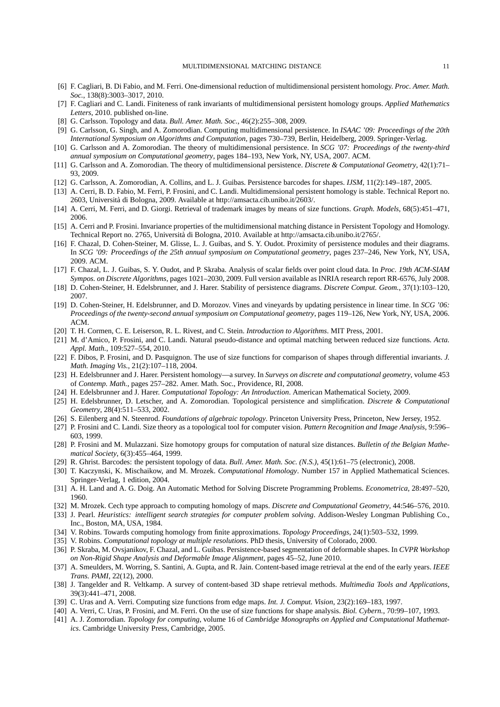- [6] F. Cagliari, B. Di Fabio, and M. Ferri. One-dimensional reduction of multidimensional persistent homology. *Proc. Amer. Math. Soc.*, 138(8):3003–3017, 2010.
- [7] F. Cagliari and C. Landi. Finiteness of rank invariants of multidimensional persistent homology groups. *Applied Mathematics Letters*, 2010. published on-line.
- [8] G. Carlsson. Topology and data. *Bull. Amer. Math. Soc.*, 46(2):255–308, 2009.
- [9] G. Carlsson, G. Singh, and A. Zomorodian. Computing multidimensional persistence. In *ISAAC '09: Proceedings of the 20th International Symposium on Algorithms and Computation*, pages 730–739, Berlin, Heidelberg, 2009. Springer-Verlag.
- [10] G. Carlsson and A. Zomorodian. The theory of multidimensional persistence. In *SCG '07: Proceedings of the twenty-third annual symposium on Computational geometry*, pages 184–193, New York, NY, USA, 2007. ACM.
- [11] G. Carlsson and A. Zomorodian. The theory of multidimensional persistence. *Discrete & Computational Geometry*, 42(1):71– 93, 2009.
- [12] G. Carlsson, A. Zomorodian, A. Collins, and L. J. Guibas. Persistence barcodes for shapes. *IJSM*, 11(2):149–187, 2005.
- [13] A. Cerri, B. D. Fabio, M. Ferri, P. Frosini, and C. Landi. Multidimensional persistent homology is stable. Technical Report no. 2603, Universita di Bologna, 2009. Available at http://amsacta.cib.unibo.it/2603/. `
- [14] A. Cerri, M. Ferri, and D. Giorgi. Retrieval of trademark images by means of size functions. *Graph. Models*, 68(5):451–471, 2006.
- [15] A. Cerri and P. Frosini. Invariance properties of the multidimensional matching distance in Persistent Topology and Homology. Technical Report no. 2765, Universita di Bologna, 2010. Available at http://amsacta.cib.unibo.it/2765/. `
- [16] F. Chazal, D. Cohen-Steiner, M. Glisse, L. J. Guibas, and S. Y. Oudot. Proximity of persistence modules and their diagrams. In *SCG '09: Proceedings of the 25th annual symposium on Computational geometry*, pages 237–246, New York, NY, USA, 2009. ACM.
- [17] F. Chazal, L. J. Guibas, S. Y. Oudot, and P. Skraba. Analysis of scalar fields over point cloud data. In *Proc. 19th ACM-SIAM Sympos. on Discrete Algorithms*, pages 1021–2030, 2009. Full version available as INRIA research report RR-6576, July 2008.
- [18] D. Cohen-Steiner, H. Edelsbrunner, and J. Harer. Stability of persistence diagrams. *Discrete Comput. Geom.*, 37(1):103–120, 2007.
- [19] D. Cohen-Steiner, H. Edelsbrunner, and D. Morozov. Vines and vineyards by updating persistence in linear time. In *SCG '06: Proceedings of the twenty-second annual symposium on Computational geometry*, pages 119–126, New York, NY, USA, 2006. ACM.
- [20] T. H. Cormen, C. E. Leiserson, R. L. Rivest, and C. Stein. *Introduction to Algorithms*. MIT Press, 2001.
- [21] M. d'Amico, P. Frosini, and C. Landi. Natural pseudo-distance and optimal matching between reduced size functions. *Acta. Appl. Math.*, 109:527–554, 2010.
- [22] F. Dibos, P. Frosini, and D. Pasquignon. The use of size functions for comparison of shapes through differential invariants. *J. Math. Imaging Vis.*, 21(2):107–118, 2004.
- [23] H. Edelsbrunner and J. Harer. Persistent homology—a survey. In *Surveys on discrete and computational geometry*, volume 453 of *Contemp. Math.*, pages 257–282. Amer. Math. Soc., Providence, RI, 2008.
- [24] H. Edelsbrunner and J. Harer. *Computational Topology: An Introduction*. American Mathematical Society, 2009.
- [25] H. Edelsbrunner, D. Letscher, and A. Zomorodian. Topological persistence and simplification. *Discrete & Computational Geometry*, 28(4):511–533, 2002.
- [26] S. Eilenberg and N. Steenrod. *Foundations of algebraic topology*. Princeton University Press, Princeton, New Jersey, 1952.
- [27] P. Frosini and C. Landi. Size theory as a topological tool for computer vision. *Pattern Recognition and Image Analysis*, 9:596– 603, 1999.
- [28] P. Frosini and M. Mulazzani. Size homotopy groups for computation of natural size distances. *Bulletin of the Belgian Mathematical Society*, 6(3):455–464, 1999.
- [29] R. Ghrist. Barcodes: the persistent topology of data. *Bull. Amer. Math. Soc. (N.S.)*, 45(1):61–75 (electronic), 2008.
- [30] T. Kaczynski, K. Mischaikow, and M. Mrozek. *Computational Homology*. Number 157 in Applied Mathematical Sciences. Springer-Verlag, 1 edition, 2004.
- [31] A. H. Land and A. G. Doig. An Automatic Method for Solving Discrete Programming Problems. *Econometrica*, 28:497–520, 1960.
- [32] M. Mrozek. Cech type approach to computing homology of maps. *Discrete and Computational Geometry*, 44:546–576, 2010.
- [33] J. Pearl. *Heuristics: intelligent search strategies for computer problem solving*. Addison-Wesley Longman Publishing Co., Inc., Boston, MA, USA, 1984.
- [34] V. Robins. Towards computing homology from finite approximations. *Topology Proceedings*, 24(1):503–532, 1999.
- [35] V. Robins. *Computational topology at multiple resolutions*. PhD thesis, University of Colorado, 2000.
- [36] P. Skraba, M. Ovsjanikov, F. Chazal, and L. Guibas. Persistence-based segmentation of deformable shapes. In *CVPR Workshop on Non-Rigid Shape Analysis and Deformable Image Alignment*, pages 45–52, June 2010.
- [37] A. Smeulders, M. Worring, S. Santini, A. Gupta, and R. Jain. Content-based image retrieval at the end of the early years. *IEEE Trans. PAMI*, 22(12), 2000.
- [38] J. Tangelder and R. Veltkamp. A survey of content-based 3D shape retrieval methods. *Multimedia Tools and Applications*, 39(3):441–471, 2008.
- [39] C. Uras and A. Verri. Computing size functions from edge maps. *Int. J. Comput. Vision*, 23(2):169–183, 1997.
- [40] A. Verri, C. Uras, P. Frosini, and M. Ferri. On the use of size functions for shape analysis. *Biol. Cybern.*, 70:99–107, 1993.
- [41] A. J. Zomorodian. *Topology for computing*, volume 16 of *Cambridge Monographs on Applied and Computational Mathematics*. Cambridge University Press, Cambridge, 2005.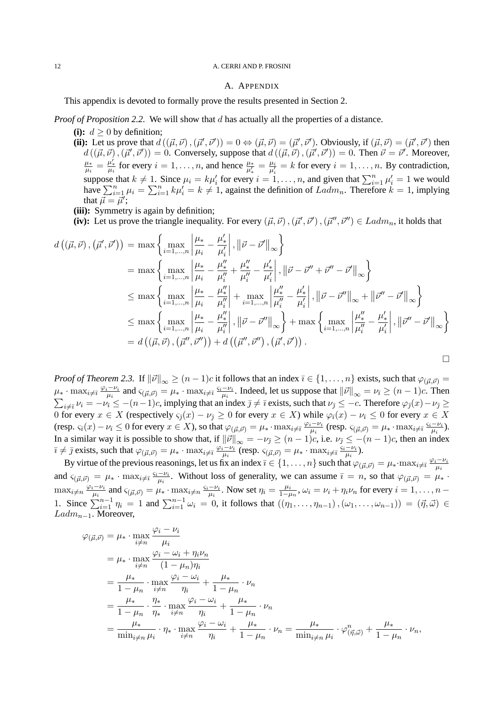# A. APPENDIX

This appendix is devoted to formally prove the results presented in Section 2.

*Proof of Proposition 2.2.* We will show that d has actually all the properties of a distance.

(i):  $d > 0$  by definition;

(ii): Let us prove that  $d((\vec{\mu}, \vec{\nu}), (\vec{\mu}', \vec{\nu}')) = 0 \Leftrightarrow (\vec{\mu}, \vec{\nu}) = (\vec{\mu}', \vec{\nu}')$ . Obviously, if  $(\vec{\mu}, \vec{\nu}) = (\vec{\mu}', \vec{\nu}')$  then  $d((\vec{\mu}, \vec{\nu}), (\vec{\mu}', \vec{\nu}')) = 0$ . Conversely, suppose that  $d((\vec{\mu}, \vec{\nu}), (\vec{\mu}', \vec{\nu}')) = 0$ . Then  $\vec{\nu} = \vec{\nu}'$ . Moreover, µ∗  $\frac{\mu_*}{\mu_i} = \frac{\mu'_*}{\mu_i}$  for every  $i = 1, \ldots, n$ , and hence  $\frac{\mu_*}{\mu'_*} = \frac{\mu_i}{\mu'_i}$  $\frac{\mu_i}{\mu'_i} = k$  for every  $i = 1, \dots, n$ . By contradiction, suppose that  $k \neq 1$ . Since  $\mu_i = k\mu'_i$  for every  $i = 1, \ldots, n$ , and given that  $\sum_{i=1}^n \mu'_i = 1$  we would have  $\sum_{i=1}^{n} \mu_i = \sum_{i=1}^{n} k \mu'_i = k \neq 1$ , against the definition of  $Ladm_n$ . Therefore  $k = 1$ , implying that  $\vec{\mu} = \vec{\mu'}$ ;

**(iii):** Symmetry is again by definition;

(iv): Let us prove the triangle inequality. For every  $(\vec{\mu}, \vec{\nu})$ ,  $(\vec{\mu}', \vec{\nu}')$ ,  $(\vec{\mu}'', \vec{\nu}'') \in Ladm_n$ , it holds that

$$
d\left((\vec{\mu}, \vec{\nu}), (\vec{\mu}', \vec{\nu}')\right) = \max \left\{\max_{i=1,\dots,n} \left| \frac{\mu_{*}}{\mu_{i}} - \frac{\mu'_{*}}{\mu'_{i}} \right|, \left\|\vec{\nu} - \vec{\nu}'\right\|_{\infty} \right\}
$$
  
\n
$$
= \max \left\{\max_{i=1,\dots,n} \left| \frac{\mu_{*}}{\mu_{i}} - \frac{\mu''_{*}}{\mu''_{i}} + \frac{\mu''_{*}}{\mu''_{i}} - \frac{\mu'_{*}}{\mu'_{i}} \right|, \left\|\vec{\nu} - \vec{\nu}'' + \vec{\nu}'' - \vec{\nu}'\right\|_{\infty} \right\}
$$
  
\n
$$
\leq \max \left\{\max_{i=1,\dots,n} \left| \frac{\mu_{*}}{\mu_{i}} - \frac{\mu''_{*}}{\mu''_{i}} \right| + \max_{i=1,\dots,n} \left| \frac{\mu''_{*}}{\mu''_{i}} - \frac{\mu'_{*}}{\mu'_{i}} \right|, \left\|\vec{\nu} - \vec{\nu}''\right\|_{\infty} + \left\|\vec{\nu}'' - \vec{\nu}'\right\|_{\infty} \right\}
$$
  
\n
$$
\leq \max \left\{\max_{i=1,\dots,n} \left| \frac{\mu_{*}}{\mu_{i}} - \frac{\mu''_{*}}{\mu''_{i}} \right|, \left\|\vec{\nu} - \vec{\nu}''\right\|_{\infty} \right\} + \max \left\{\max_{i=1,\dots,n} \left| \frac{\mu''_{*}}{\mu''_{i}} - \frac{\mu'_{*}}{\mu'_{i}} \right|, \left\|\vec{\nu}'' - \vec{\nu}'\right\|_{\infty} \right\}
$$
  
\n
$$
= d\left((\vec{\mu}, \vec{\nu}), (\vec{\mu}'', \vec{\nu}'')\right) + d\left((\vec{\mu}'', \vec{\nu}''), (\vec{\mu}', \vec{\nu}')\right).
$$

*Proof of Theorem 2.3.* If  $\|\vec{v}\|_{\infty} \ge (n-1)c$  it follows that an index  $\bar{\imath} \in \{1,\ldots,n\}$  exists, such that  $\varphi_{(\vec{\mu},\vec{\nu})} =$  $\mu_* \cdot \max_{i \neq \bar{\imath}} \frac{\varphi_i - \nu_i}{\mu_i}$  $\frac{a_i - \nu_i}{\mu_i}$  and  $\varsigma_{(\vec{\mu}, \vec{\nu})} = \mu_* \cdot \max_{i \neq \bar{\imath}} \frac{\varsigma_i - \nu_i}{\mu_i}$  $\frac{-\nu_i}{\mu_i}$ . Indeed, let us suppose that  $\|\vec{\nu}\|_{\infty} = \nu_{\bar{\imath}} \ge (n-1)c$ . Then  $\sum_{i\neq \bar{\imath}}\nu_i=-\nu_{\bar{\imath}}\leq -(n-1)c$ , implying that an index  $\bar{\jmath}\neq \bar{\imath}$  exists, such that  $\nu_{\bar{\jmath}}\leq -c$ . Therefore  $\varphi_{\bar{\jmath}}(x)-\nu_{\bar{\jmath}}\geq$ 0 for every  $x \in X$  (respectively  $\varsigma_{\bar{g}}(x) - \nu_{\bar{g}} \ge 0$  for every  $x \in X$ ) while  $\varphi_{\bar{g}}(x) - \nu_{\bar{g}} \le 0$  for every  $x \in X$ (resp.  $\varsigma_{\bar{i}}(x) - \nu_{\bar{i}} \leq 0$  for every  $x \in X$ ), so that  $\varphi_{(\vec{\mu}, \vec{\nu})} = \mu_* \cdot \max_{i \neq \bar{i}} \frac{\varphi_i - \nu_i}{\mu_i}$  $\frac{1}{\mu_i}^{\mu_i}$  (resp.  $\varsigma_{(\vec{\mu},\vec{\nu})}=\mu_*\cdot\max_{i\neq\bar{\imath}}\frac{\varsigma_i-\nu_i}{\mu_i}$  $\frac{-\nu_i}{\mu_i}).$ In a similar way it is possible to show that, if  $\|\vec{v}\|_{\infty} = -\nu_{\bar{\jmath}} \ge (n-1)c$ , i.e.  $\nu_{\bar{\jmath}} \le -(n-1)c$ , then an index  $\bar{\imath} \neq \bar{\jmath}$  exists, such that  $\varphi_{(\vec{\mu}, \vec{\nu})} = \mu_* \cdot \max_{i \neq \bar{\imath}} \frac{\varphi_i - \nu_i}{\mu_i}$  $\frac{1-\nu_i}{\mu_i}$  (resp.  $\varsigma_{(\vec{\mu},\vec{\nu})}=\mu_*\cdot\max_{i\neq\bar{\imath}}\frac{\varsigma_i-\nu_i}{\mu_i}$  $\frac{-\nu_i}{\mu_i}).$ 

By virtue of the previous reasonings, let us fix an index  $\overline{i} \in \{1, \ldots, n\}$  such that  $\varphi_{(\vec{\mu}, \vec{\nu})} = \mu_* \cdot \max_{i \neq \overline{i}} \frac{\varphi_i - \nu_i}{\mu_i}$  $\mu_i$ and  $\varsigma_{(\vec{\mu},\vec{\nu})} = \mu_* \cdot \max_{i \neq \bar{\imath}} \frac{\varsigma_i - \nu_i}{\mu_i}$  $\frac{-\nu_i}{\mu_i}$ . Without loss of generality, we can assume  $\bar{\iota} = n$ , so that  $\varphi_{(\vec{\mu}, \vec{\nu})} = \mu_*$ .  $\max_{i \neq n} \frac{\varphi_i - \nu_i}{\mu_i}$  $\frac{a_i - \nu_i}{\mu_i}$  and  $\varsigma_{(\vec{\mu}, \vec{\nu})} = \mu_* \cdot \max_{i \neq n} \frac{\varsigma_i - \nu_i}{\mu_i}$  $\frac{-\nu_i}{\mu_i}$ . Now set  $\eta_i = \frac{\mu_i}{1-\mu_i}$  $\frac{\mu_i}{1-\mu_n}$ ,  $\omega_i = \nu_i + \eta_i \nu_n$  for every  $i = 1, \ldots, n-1$ 1. Since  $\sum_{i=1}^{n-1} \eta_i = 1$  and  $\sum_{i=1}^{n-1} \omega_i = 0$ , it follows that  $((\eta_1, \ldots, \eta_{n-1}), (\omega_1, \ldots, \omega_{n-1})) = (\vec{\eta}, \vec{\omega}) \in$  $Ladm_{n-1}$ . Moreover,

$$
\varphi_{(\vec{\mu},\vec{\nu})} = \mu_* \cdot \max_{i \neq n} \frac{\varphi_i - \nu_i}{\mu_i}
$$
  
\n
$$
= \mu_* \cdot \max_{i \neq n} \frac{\varphi_i - \omega_i + \eta_i \nu_n}{(1 - \mu_n)\eta_i}
$$
  
\n
$$
= \frac{\mu_*}{1 - \mu_n} \cdot \max_{i \neq n} \frac{\varphi_i - \omega_i}{\eta_i} + \frac{\mu_*}{1 - \mu_n} \cdot \nu_n
$$
  
\n
$$
= \frac{\mu_*}{1 - \mu_n} \cdot \frac{\eta_*}{\eta_*} \cdot \max_{i \neq n} \frac{\varphi_i - \omega_i}{\eta_i} + \frac{\mu_*}{1 - \mu_n} \cdot \nu_n
$$
  
\n
$$
= \frac{\mu_*}{\min_{i \neq n} \mu_i} \cdot \eta_* \cdot \max_{i \neq n} \frac{\varphi_i - \omega_i}{\eta_i} + \frac{\mu_*}{1 - \mu_n} \cdot \nu_n = \frac{\mu_*}{\min_{i \neq n} \mu_i} \cdot \varphi_{(\vec{\eta},\vec{\omega})}^n + \frac{\mu_*}{1 - \mu_n} \cdot \nu_n,
$$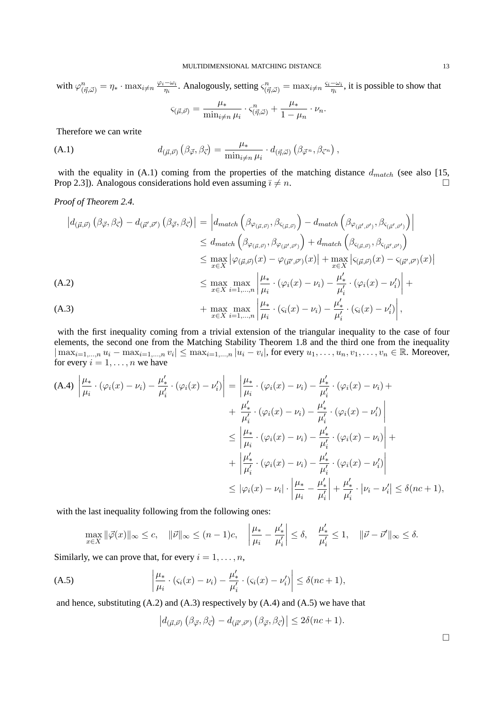with  $\varphi_{(\vec{\eta}, \vec{\omega})}^n = \eta_* \cdot \max_{i \neq n} \frac{\varphi_i - \omega_i}{\eta_i}$  $\frac{-\omega_i}{\eta_i}$ . Analogously, setting  $\varsigma^n_{(\vec{\eta}, \vec{\omega})} = \max_{i \neq n} \frac{\varsigma_i - \omega_i}{\eta_i}$  $\frac{-\omega_i}{\eta_i}$ , it is possible to show that  $\varsigma_{(\vec{\mu},\vec{\nu})} = \frac{\mu_*}{\min}$  $\frac{\mu_*}{\min_{i\neq n}\mu_i} \cdot \varsigma_{(\vec{\eta},\vec{\omega})}^n + \frac{\mu_*}{1-\mu}$  $\frac{r^*}{1-\mu_n}\cdot\nu_n.$ 

Therefore we can write

(A.1) 
$$
d_{(\vec{\mu},\vec{\nu})}\left(\beta_{\vec{\varphi}},\beta_{\vec{\varsigma}}\right) = \frac{\mu_*}{\min_{i\neq n}\mu_i} \cdot d_{(\vec{\eta},\vec{\omega})}\left(\beta_{\vec{\varphi}^n},\beta_{\vec{\varsigma}^n}\right),
$$

with the equality in  $(A.1)$  coming from the properties of the matching distance  $d_{match}$  (see also [15, Prop 2.3]). Analogous considerations hold even assuming  $\overline{i} \neq n$ .

# *Proof of Theorem 2.4.*

$$
|d_{(\vec{\mu},\vec{\nu})}(\beta_{\vec{\varphi}},\beta_{\vec{\varsigma}})-d_{(\vec{\mu}',\vec{\nu}')}(\beta_{\vec{\varphi}},\beta_{\vec{\varsigma}})| = |d_{match}(\beta_{\varphi_{(\vec{\mu},\vec{\nu})}},\beta_{\varsigma_{(\vec{\mu},\vec{\nu})}})-d_{match}(\beta_{\varphi_{(\vec{\mu}',\vec{\nu}')}},\beta_{\varsigma_{(\vec{\mu}',\vec{\nu}')}})|
$$
  
\n
$$
\leq d_{match}(\beta_{\varphi_{(\vec{\mu},\vec{\nu})}},\beta_{\varphi_{(\vec{\mu}',\vec{\nu}')}})+d_{match}(\beta_{\varsigma_{(\vec{\mu},\vec{\nu})}},\beta_{\varsigma_{(\vec{\mu}',\vec{\nu}')}})
$$
  
\n
$$
\leq \max_{x \in X} |\varphi_{(\vec{\mu},\vec{\nu})}(x) - \varphi_{(\vec{\mu}',\vec{\nu}')}(x)| + \max_{x \in X} |\varsigma_{(\vec{\mu},\vec{\nu})}(x) - \varsigma_{(\vec{\mu}',\vec{\nu}')}(x)|
$$
  
\n(A.2)  
\n
$$
\leq \max_{x \in X} \max_{i=1,...,n} \left| \frac{\mu_{*}}{\mu_{i}} \cdot (\varphi_{i}(x) - \nu_{i}) - \frac{\mu'_{*}}{\mu'_{i}} \cdot (\varphi_{i}(x) - \nu'_{i}) \right| +
$$
  
\n(A.3)  
\n
$$
+ \max_{x \in X} \max_{i=1,...,n} \left| \frac{\mu_{*}}{\mu_{i}} \cdot (\varsigma_{i}(x) - \nu_{i}) - \frac{\mu'_{*}}{\mu'_{i}} \cdot (\varsigma_{i}(x) - \nu'_{i}) \right|,
$$

with the first inequality coming from a trivial extension of the triangular inequality to the case of four elements, the second one from the Matching Stability Theorem 1.8 and the third one from the inequality  $|\max_{i=1,...,n} u_i - \max_{i=1,...,n} v_i| \leq \max_{i=1,...,n} |u_i - v_i|$ , for every  $u_1, \ldots, u_n, v_1, \ldots, v_n \in \mathbb{R}$ . Moreover, for every  $i = 1, \ldots, n$  we have

(A.4) 
$$
\left| \frac{\mu_{*}}{\mu_{i}} \cdot (\varphi_{i}(x) - \nu_{i}) - \frac{\mu'_{*}}{\mu'_{i}} \cdot (\varphi_{i}(x) - \nu'_{i}) \right| = \left| \frac{\mu_{*}}{\mu_{i}} \cdot (\varphi_{i}(x) - \nu_{i}) - \frac{\mu'_{*}}{\mu'_{i}} \cdot (\varphi_{i}(x) - \nu_{i}) + \frac{\mu'_{*}}{\mu'_{i}} \cdot (\varphi_{i}(x) - \nu_{i}) - \frac{\mu'_{*}}{\mu'_{i}} \cdot (\varphi_{i}(x) - \nu'_{i}) \right|
$$
  
\n
$$
\leq \left| \frac{\mu_{*}}{\mu_{i}} \cdot (\varphi_{i}(x) - \nu_{i}) - \frac{\mu'_{*}}{\mu'_{i}} \cdot (\varphi_{i}(x) - \nu_{i}) \right| + \frac{\mu'_{*}}{\mu'_{i}} \cdot (\varphi_{i}(x) - \nu_{i}) - \frac{\mu'_{*}}{\mu'_{i}} \cdot (\varphi_{i}(x) - \nu'_{i}) \right|
$$
  
\n
$$
\leq |\varphi_{i}(x) - \nu_{i}| \cdot \left| \frac{\mu_{*}}{\mu_{i}} - \frac{\mu'_{*}}{\mu'_{i}} \right| + \frac{\mu'_{*}}{\mu'_{i}} \cdot |\nu_{i} - \nu'_{i}| \leq \delta (nc + 1),
$$

with the last inequality following from the following ones:

$$
\max_{x\in X}\|\vec\varphi(x)\|_\infty\le c,\quad \|\vec\nu\|_\infty\le (n-1)c,\quad \left|\frac{\mu_*}{\mu_i}-\frac{\mu_*'}{\mu_i'}\right|\le \delta,\quad \frac{\mu_*'}{\mu_i'}\le 1,\quad \|\vec\nu-\vec\nu'\|_\infty\le \delta.
$$

Similarly, we can prove that, for every  $i = 1, \ldots, n$ ,

(A.5) 
$$
\left|\frac{\mu_*}{\mu_i}\cdot\left(\varsigma_i(x)-\nu_i\right)-\frac{\mu'_*}{\mu'_i}\cdot\left(\varsigma_i(x)-\nu'_i\right)\right|\leq \delta(nc+1),
$$

and hence, substituting  $(A.2)$  and  $(A.3)$  respectively by  $(A.4)$  and  $(A.5)$  we have that

$$
\left|d_{(\vec{\mu},\vec{\nu})}\left(\beta_{\vec{\varphi}},\beta_{\vec{\varsigma}}\right)-d_{(\vec{\mu}',\vec{\nu}')}\left(\beta_{\vec{\varphi}},\beta_{\vec{\varsigma}}\right)\right|\leq 2\delta(nc+1).
$$

 $\Box$